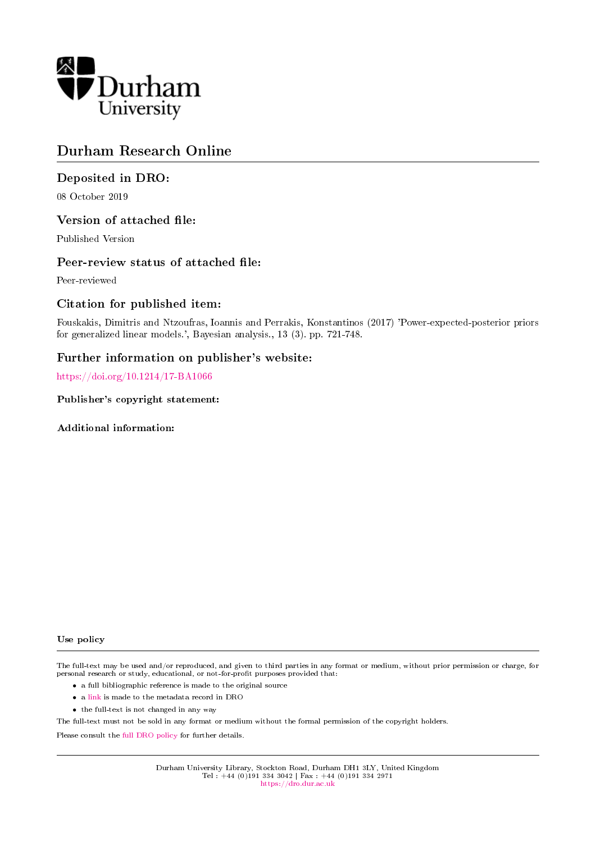

# Durham Research Online

# Deposited in DRO:

08 October 2019

## Version of attached file:

Published Version

## Peer-review status of attached file:

Peer-reviewed

# Citation for published item:

Fouskakis, Dimitris and Ntzoufras, Ioannis and Perrakis, Konstantinos (2017) 'Power-expected-posterior priors for generalized linear models.', Bayesian analysis., 13 (3). pp. 721-748.

# Further information on publisher's website:

<https://doi.org/10.1214/17-BA1066>

Publisher's copyright statement:

Additional information:

#### Use policy

The full-text may be used and/or reproduced, and given to third parties in any format or medium, without prior permission or charge, for personal research or study, educational, or not-for-profit purposes provided that:

- a full bibliographic reference is made to the original source
- a [link](http://dro.dur.ac.uk/29237/) is made to the metadata record in DRO
- the full-text is not changed in any way

The full-text must not be sold in any format or medium without the formal permission of the copyright holders.

Please consult the [full DRO policy](https://dro.dur.ac.uk/policies/usepolicy.pdf) for further details.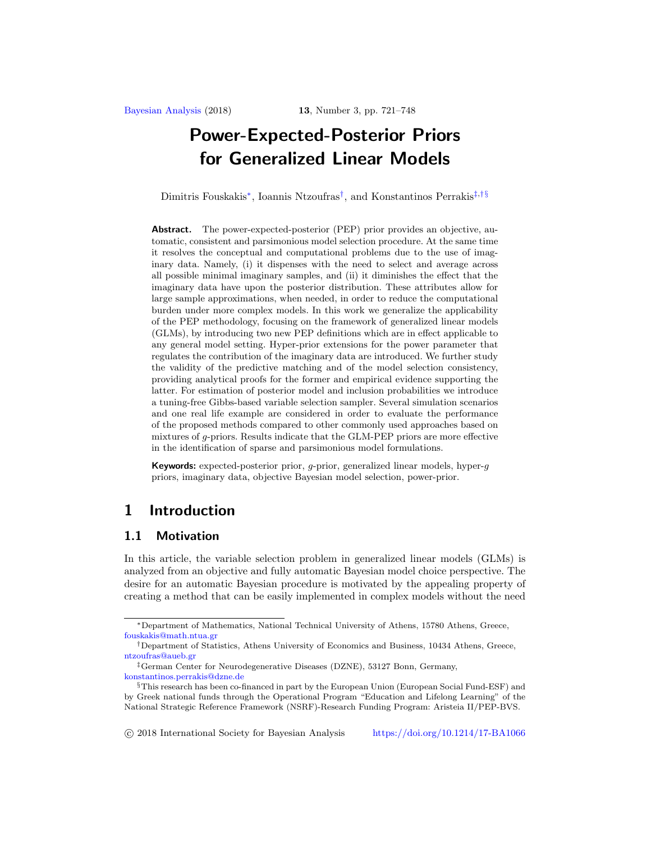Dimitris Fouskakis[∗](#page-1-0), Ioannis Ntzoufras[†](#page-1-1), and Konstantinos Perrakis[‡](#page-1-2),[†](#page-1-1)[§](#page-1-3)

**Abstract.** The power-expected-posterior (PEP) prior provides an objective, automatic, consistent and parsimonious model selection procedure. At the same time it resolves the conceptual and computational problems due to the use of imaginary data. Namely, (i) it dispenses with the need to select and average across all possible minimal imaginary samples, and (ii) it diminishes the effect that the imaginary data have upon the posterior distribution. These attributes allow for large sample approximations, when needed, in order to reduce the computational burden under more complex models. In this work we generalize the applicability of the PEP methodology, focusing on the framework of generalized linear models (GLMs), by introducing two new PEP definitions which are in effect applicable to any general model setting. Hyper-prior extensions for the power parameter that regulates the contribution of the imaginary data are introduced. We further study the validity of the predictive matching and of the model selection consistency, providing analytical proofs for the former and empirical evidence supporting the latter. For estimation of posterior model and inclusion probabilities we introduce a tuning-free Gibbs-based variable selection sampler. Several simulation scenarios and one real life example are considered in order to evaluate the performance of the proposed methods compared to other commonly used approaches based on mixtures of g-priors. Results indicate that the GLM-PEP priors are more effective in the identification of sparse and parsimonious model formulations.

**Keywords:** expected-posterior prior, q-prior, generalized linear models, hyper-q priors, imaginary data, objective Bayesian model selection, power-prior.

# **1 Introduction**

### **1.1 Motivation**

In this article, the variable selection problem in generalized linear models (GLMs) is analyzed from an objective and fully automatic Bayesian model choice perspective. The desire for an automatic Bayesian procedure is motivated by the appealing property of creating a method that can be easily implemented in complex models without the need

<span id="page-1-0"></span><sup>∗</sup>Department of Mathematics, National Technical University of Athens, 15780 Athens, Greece, [fouskakis@math.ntua.gr](mailto:fouskakis@math.ntua.gr)

<span id="page-1-1"></span><sup>†</sup>Department of Statistics, Athens University of Economics and Business, 10434 Athens, Greece, [ntzoufras@aueb.gr](mailto:ntzoufras@aueb.gr)

<span id="page-1-2"></span><sup>‡</sup>German Center for Neurodegenerative Diseases (DZNE), 53127 Bonn, Germany, [konstantinos.perrakis@dzne.de](mailto:konstantinos.perrakis@dzne.de)

<span id="page-1-3"></span><sup>§</sup>This research has been co-financed in part by the European Union (European Social Fund-ESF) and by Greek national funds through the Operational Program "Education and Lifelong Learning" of the National Strategic Reference Framework (NSRF)-Research Funding Program: Aristeia II/PEP-BVS.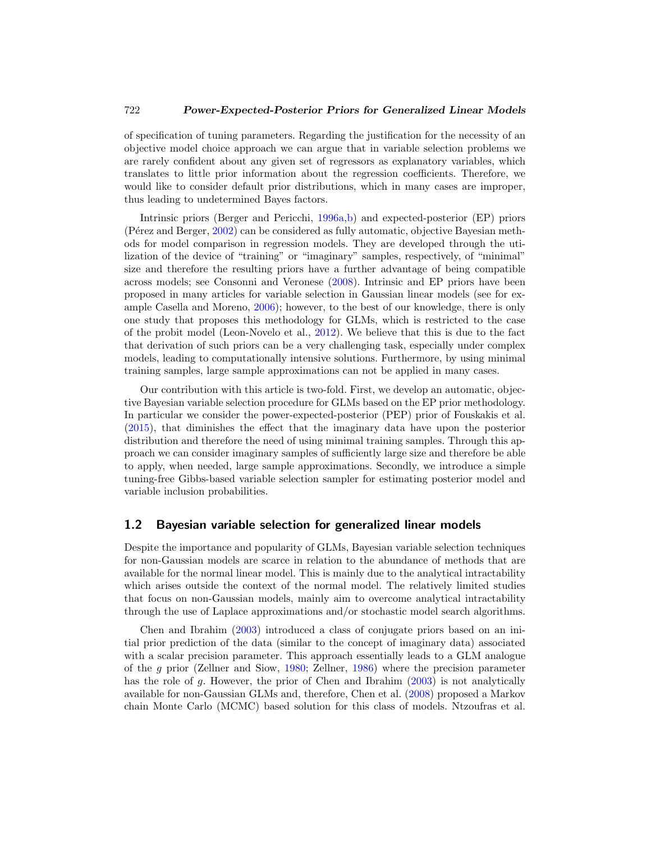<span id="page-2-0"></span>of specification of tuning parameters. Regarding the justification for the necessity of an objective model choice approach we can argue that in variable selection problems we are rarely confident about any given set of regressors as explanatory variables, which translates to little prior information about the regression coefficients. Therefore, we would like to consider default prior distributions, which in many cases are improper, thus leading to undetermined Bayes factors.

Intrinsic priors (Berger and Pericchi, [1996a](#page-25-0)[,b](#page-25-1)) and expected-posterior (EP) priors (Pérez and Berger, [2002\)](#page-27-0) can be considered as fully automatic, objective Bayesian methods for model comparison in regression models. They are developed through the utilization of the device of "training" or "imaginary" samples, respectively, of "minimal" size and therefore the resulting priors have a further advantage of being compatible across models; see Consonni and Veronese [\(2008](#page-25-2)). Intrinsic and EP priors have been proposed in many articles for variable selection in Gaussian linear models (see for example Casella and Moreno, [2006\)](#page-25-3); however, to the best of our knowledge, there is only one study that proposes this methodology for GLMs, which is restricted to the case of the probit model (Leon-Novelo et al., [2012](#page-26-0)). We believe that this is due to the fact that derivation of such priors can be a very challenging task, especially under complex models, leading to computationally intensive solutions. Furthermore, by using minimal training samples, large sample approximations can not be applied in many cases.

Our contribution with this article is two-fold. First, we develop an automatic, objective Bayesian variable selection procedure for GLMs based on the EP prior methodology. In particular we consider the power-expected-posterior (PEP) prior of Fouskakis et al. [\(2015\)](#page-25-4), that diminishes the effect that the imaginary data have upon the posterior distribution and therefore the need of using minimal training samples. Through this approach we can consider imaginary samples of sufficiently large size and therefore be able to apply, when needed, large sample approximations. Secondly, we introduce a simple tuning-free Gibbs-based variable selection sampler for estimating posterior model and variable inclusion probabilities.

#### **1.2 Bayesian variable selection for generalized linear models**

Despite the importance and popularity of GLMs, Bayesian variable selection techniques for non-Gaussian models are scarce in relation to the abundance of methods that are available for the normal linear model. This is mainly due to the analytical intractability which arises outside the context of the normal model. The relatively limited studies that focus on non-Gaussian models, mainly aim to overcome analytical intractability through the use of Laplace approximations and/or stochastic model search algorithms.

Chen and Ibrahim [\(2003\)](#page-25-5) introduced a class of conjugate priors based on an initial prior prediction of the data (similar to the concept of imaginary data) associated with a scalar precision parameter. This approach essentially leads to a GLM analogue of the g prior (Zellner and Siow, [1980;](#page-28-0) Zellner, [1986\)](#page-27-1) where the precision parameter has the role of g. However, the prior of Chen and Ibrahim [\(2003\)](#page-25-5) is not analytically available for non-Gaussian GLMs and, therefore, Chen et al. [\(2008\)](#page-25-6) proposed a Markov chain Monte Carlo (MCMC) based solution for this class of models. Ntzoufras et al.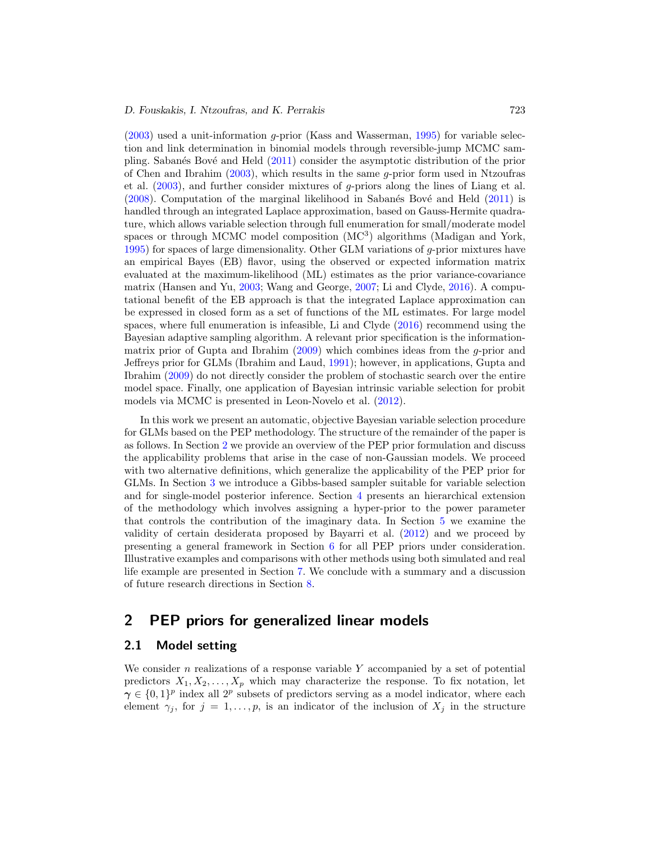<span id="page-3-1"></span> $(2003)$  used a unit-information q-prior (Kass and Wasserman, [1995\)](#page-26-1) for variable selection and link determination in binomial models through reversible-jump MCMC sam-pling. Sabanés Bové and Held [\(2011\)](#page-27-3) consider the asymptotic distribution of the prior of Chen and Ibrahim [\(2003\)](#page-25-5), which results in the same g-prior form used in Ntzoufras et al.  $(2003)$  $(2003)$ , and further consider mixtures of g-priors along the lines of Liang et al.  $(2008)$ . Computation of the marginal likelihood in Sabanés Bové and Held  $(2011)$  is handled through an integrated Laplace approximation, based on Gauss-Hermite quadrature, which allows variable selection through full enumeration for small/moderate model spaces or through MCMC model composition (MC<sup>3</sup>) algorithms (Madigan and York, [1995\)](#page-27-4) for spaces of large dimensionality. Other GLM variations of g-prior mixtures have an empirical Bayes (EB) flavor, using the observed or expected information matrix evaluated at the maximum-likelihood (ML) estimates as the prior variance-covariance matrix (Hansen and Yu, [2003;](#page-26-3) Wang and George, [2007](#page-27-5); Li and Clyde, [2016](#page-26-4)). A computational benefit of the EB approach is that the integrated Laplace approximation can be expressed in closed form as a set of functions of the ML estimates. For large model spaces, where full enumeration is infeasible, Li and Clyde [\(2016](#page-26-4)) recommend using the Bayesian adaptive sampling algorithm. A relevant prior specification is the informationmatrix prior of Gupta and Ibrahim  $(2009)$  $(2009)$  which combines ideas from the g-prior and Jeffreys prior for GLMs (Ibrahim and Laud, [1991](#page-26-6)); however, in applications, Gupta and Ibrahim [\(2009](#page-26-5)) do not directly consider the problem of stochastic search over the entire model space. Finally, one application of Bayesian intrinsic variable selection for probit models via MCMC is presented in Leon-Novelo et al. [\(2012](#page-26-0)).

In this work we present an automatic, objective Bayesian variable selection procedure for GLMs based on the PEP methodology. The structure of the remainder of the paper is as follows. In Section [2](#page-3-0) we provide an overview of the PEP prior formulation and discuss the applicability problems that arise in the case of non-Gaussian models. We proceed with two alternative definitions, which generalize the applicability of the PEP prior for GLMs. In Section [3](#page-11-0) we introduce a Gibbs-based sampler suitable for variable selection and for single-model posterior inference. Section [4](#page-13-0) presents an hierarchical extension of the methodology which involves assigning a hyper-prior to the power parameter that controls the contribution of the imaginary data. In Section [5](#page-14-0) we examine the validity of certain desiderata proposed by Bayarri et al. [\(2012\)](#page-25-7) and we proceed by presenting a general framework in Section [6](#page-15-0) for all PEP priors under consideration. Illustrative examples and comparisons with other methods using both simulated and real life example are presented in Section [7.](#page-15-1) We conclude with a summary and a discussion of future research directions in Section [8.](#page-24-0)

# <span id="page-3-0"></span>**2 PEP priors for generalized linear models**

### **2.1 Model setting**

We consider  $n$  realizations of a response variable  $Y$  accompanied by a set of potential predictors  $X_1, X_2, \ldots, X_p$  which may characterize the response. To fix notation, let  $\gamma \in \{0,1\}^p$  index all 2<sup>p</sup> subsets of predictors serving as a model indicator, where each element  $\gamma_j$ , for  $j = 1, \ldots, p$ , is an indicator of the inclusion of  $X_j$  in the structure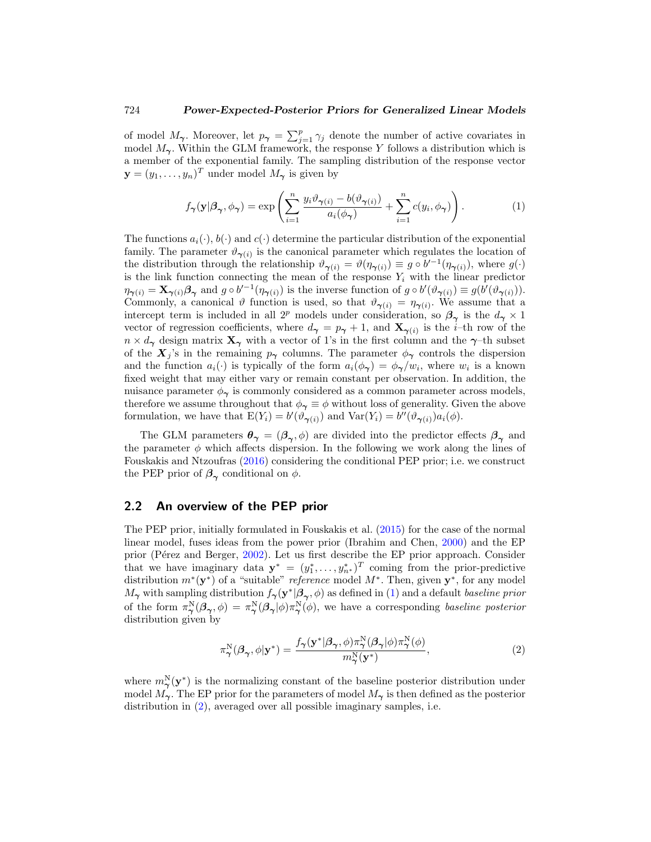<span id="page-4-3"></span>of model  $M_{\gamma}$ . Moreover, let  $p_{\gamma} = \sum_{j=1}^{p} \gamma_j$  denote the number of active covariates in model  $M_{\gamma}$ . Within the GLM framework, the response Y follows a distribution which is a member of the exponential family. The sampling distribution of the response vector  $\mathbf{y} = (y_1, \dots, y_n)^T$  under model  $M_{\gamma}$  is given by

<span id="page-4-0"></span>
$$
f_{\boldsymbol{\gamma}}(\mathbf{y}|\boldsymbol{\beta}_{\boldsymbol{\gamma}},\phi_{\boldsymbol{\gamma}}) = \exp\left(\sum_{i=1}^{n} \frac{y_i \vartheta_{\boldsymbol{\gamma}(i)} - b(\vartheta_{\boldsymbol{\gamma}(i)})}{a_i(\phi_{\boldsymbol{\gamma}})} + \sum_{i=1}^{n} c(y_i,\phi_{\boldsymbol{\gamma}})\right).
$$
 (1)

The functions  $a_i(\cdot)$ ,  $b(\cdot)$  and  $c(\cdot)$  determine the particular distribution of the exponential family. The parameter  $\vartheta_{\gamma(i)}$  is the canonical parameter which regulates the location of the distribution through the relationship  $\vartheta_{\gamma(i)} = \vartheta(\eta_{\gamma(i)}) \equiv g \circ b'^{-1}(\eta_{\gamma(i)})$ , where  $g(\cdot)$ is the link function connecting the mean of the response  $Y_i$  with the linear predictor  $\eta_{\boldsymbol{\gamma}(i)} = \mathbf{X}_{\boldsymbol{\gamma}(i)} \boldsymbol{\beta}_{\boldsymbol{\gamma}}$  and  $g \circ b'^{-1}(\eta_{\boldsymbol{\gamma}(i)})$  is the inverse function of  $g \circ b'(\vartheta_{\boldsymbol{\gamma}(i)}) \equiv g(b'(\vartheta_{\boldsymbol{\gamma}(i)})).$ Commonly, a canonical  $\vartheta$  function is used, so that  $\vartheta_{\gamma(i)} = \eta_{\gamma(i)}$ . We assume that a intercept term is included in all 2<sup>p</sup> models under consideration, so  $\beta_{\gamma}$  is the  $d_{\gamma} \times 1$ vector of regression coefficients, where  $d_{\gamma} = p_{\gamma} + 1$ , and  $\mathbf{X}_{\gamma(i)}$  is the *i*-th row of the  $n \times d_{\gamma}$  design matrix  $\mathbf{X}_{\gamma}$  with a vector of 1's in the first column and the  $\gamma$ -th subset of the  $X_j$ 's in the remaining  $p_\gamma$  columns. The parameter  $\phi_\gamma$  controls the dispersion and the function  $a_i(\cdot)$  is typically of the form  $a_i(\phi_\gamma) = \phi_\gamma/w_i$ , where  $w_i$  is a known fixed weight that may either vary or remain constant per observation. In addition, the nuisance parameter  $\phi_{\gamma}$  is commonly considered as a common parameter across models, therefore we assume throughout that  $\phi_{\gamma} \equiv \phi$  without loss of generality. Given the above formulation, we have that  $E(Y_i) = b'(\vartheta_{\gamma(i)})$  and  $Var(Y_i) = b''(\vartheta_{\gamma(i)})a_i(\phi)$ .

The GLM parameters  $\theta_{\gamma} = (\beta_{\gamma}, \phi)$  are divided into the predictor effects  $\beta_{\gamma}$  and the parameter  $\phi$  which affects dispersion. In the following we work along the lines of Fouskakis and Ntzoufras [\(2016\)](#page-25-8) considering the conditional PEP prior; i.e. we construct the PEP prior of  $\beta_{\gamma}$  conditional on  $\phi$ .

#### <span id="page-4-2"></span>**2.2 An overview of the PEP prior**

The PEP prior, initially formulated in Fouskakis et al. [\(2015](#page-25-4)) for the case of the normal linear model, fuses ideas from the power prior (Ibrahim and Chen, [2000\)](#page-26-7) and the EP prior (Pérez and Berger, [2002](#page-27-0)). Let us first describe the EP prior approach. Consider that we have imaginary data  $\mathbf{y}^* = (y_1^*, \ldots, y_{n^*}^*)^T$  coming from the prior-predictive distribution m∗(**y**∗) of a "suitable" reference model M∗. Then, given **y**∗, for any model  $M_{\gamma}$  with sampling distribution  $f_{\gamma}(\mathbf{y}^*|\boldsymbol{\beta}_{\gamma}, \phi)$  as defined in [\(1\)](#page-4-0) and a default baseline prior of the form  $\pi_\gamma^N(\beta_\gamma,\phi) = \pi_\gamma^N(\beta_\gamma|\phi)\pi_\gamma^N(\phi)$ , we have a corresponding baseline posterior distribution given by

<span id="page-4-1"></span>
$$
\pi_{\gamma}^{\mathcal{N}}(\beta_{\gamma}, \phi | \mathbf{y}^*) = \frac{f_{\gamma}(\mathbf{y}^* | \beta_{\gamma}, \phi) \pi_{\gamma}^{\mathcal{N}}(\beta_{\gamma} | \phi) \pi_{\gamma}^{\mathcal{N}}(\phi)}{m_{\gamma}^{\mathcal{N}}(\mathbf{y}^*)},
$$
(2)

where  $m_{\gamma}^{\rm N}(\mathbf{y}^*)$  is the normalizing constant of the baseline posterior distribution under model  $M_{\gamma}$ . The EP prior for the parameters of model  $M_{\gamma}$  is then defined as the posterior distribution in [\(2\)](#page-4-1), averaged over all possible imaginary samples, i.e.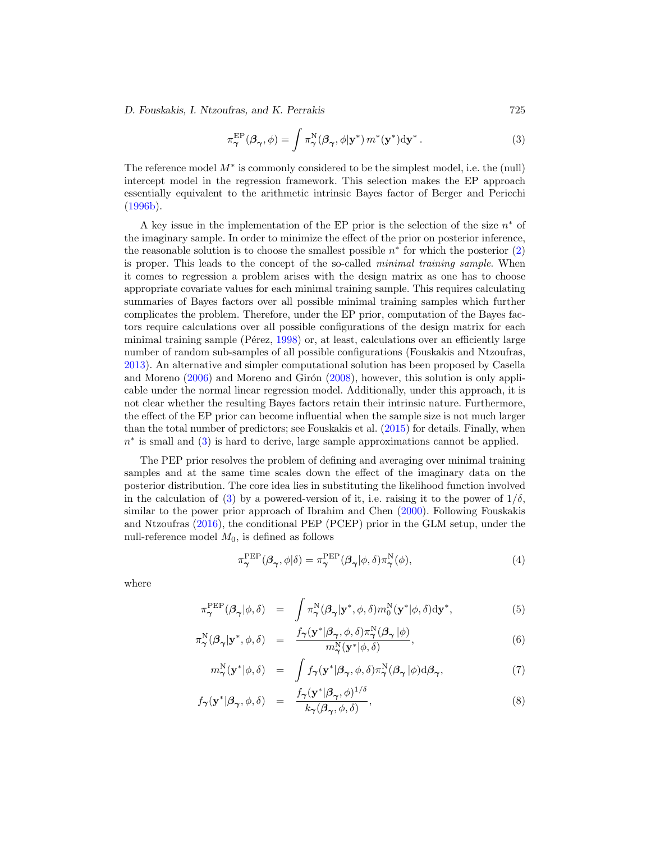#### <span id="page-5-2"></span>*D. Fouskakis, I. Ntzoufras, and K. Perrakis* 725

<span id="page-5-0"></span>
$$
\pi_{\boldsymbol{\gamma}}^{\text{EP}}(\boldsymbol{\beta}_{\boldsymbol{\gamma}}, \phi) = \int \pi_{\boldsymbol{\gamma}}^{\text{N}}(\boldsymbol{\beta}_{\boldsymbol{\gamma}}, \phi | \mathbf{y}^*) m^*(\mathbf{y}^*) d\mathbf{y}^*.
$$
\n(3)

The reference model  $M^*$  is commonly considered to be the simplest model, i.e. the (null) intercept model in the regression framework. This selection makes the EP approach essentially equivalent to the arithmetic intrinsic Bayes factor of Berger and Pericchi [\(1996b](#page-25-1)).

A key issue in the implementation of the EP prior is the selection of the size  $n^*$  of the imaginary sample. In order to minimize the effect of the prior on posterior inference, the reasonable solution is to choose the smallest possible  $n<sup>*</sup>$  for which the posterior [\(2\)](#page-4-1) is proper. This leads to the concept of the so-called minimal training sample. When it comes to regression a problem arises with the design matrix as one has to choose appropriate covariate values for each minimal training sample. This requires calculating summaries of Bayes factors over all possible minimal training samples which further complicates the problem. Therefore, under the EP prior, computation of the Bayes factors require calculations over all possible configurations of the design matrix for each minimal training sample (Pérez,  $1998$ ) or, at least, calculations over an efficiently large number of random sub-samples of all possible configurations (Fouskakis and Ntzoufras, [2013\)](#page-25-9). An alternative and simpler computational solution has been proposed by Casella and Moreno  $(2006)$  $(2006)$  and Moreno and Girón  $(2008)$  $(2008)$ , however, this solution is only applicable under the normal linear regression model. Additionally, under this approach, it is not clear whether the resulting Bayes factors retain their intrinsic nature. Furthermore, the effect of the EP prior can become influential when the sample size is not much larger than the total number of predictors; see Fouskakis et al. [\(2015\)](#page-25-4) for details. Finally, when  $n<sup>*</sup>$  is small and [\(3\)](#page-5-0) is hard to derive, large sample approximations cannot be applied.

The PEP prior resolves the problem of defining and averaging over minimal training samples and at the same time scales down the effect of the imaginary data on the posterior distribution. The core idea lies in substituting the likelihood function involved in the calculation of [\(3\)](#page-5-0) by a powered-version of it, i.e. raising it to the power of  $1/\delta$ , similar to the power prior approach of Ibrahim and Chen [\(2000](#page-26-7)). Following Fouskakis and Ntzoufras [\(2016](#page-25-8)), the conditional PEP (PCEP) prior in the GLM setup, under the null-reference model  $M_0$ , is defined as follows

$$
\pi_{\gamma}^{\text{PEP}}(\beta_{\gamma}, \phi|\delta) = \pi_{\gamma}^{\text{PEP}}(\beta_{\gamma}|\phi, \delta)\pi_{\gamma}^{\text{N}}(\phi),\tag{4}
$$

where

<span id="page-5-1"></span>
$$
\pi_{\gamma}^{\text{PEP}}(\beta_{\gamma}|\phi,\delta) = \int \pi_{\gamma}^{N}(\beta_{\gamma}|\mathbf{y}^{*},\phi,\delta)m_{0}^{N}(\mathbf{y}^{*}|\phi,\delta)d\mathbf{y}^{*},
$$
\n(5)

$$
\pi^N_{\boldsymbol{\gamma}}(\boldsymbol{\beta}_{\boldsymbol{\gamma}}|\mathbf{y}^*,\boldsymbol{\phi},\delta) = \frac{f_{\boldsymbol{\gamma}}(\mathbf{y}^*|\boldsymbol{\beta}_{\boldsymbol{\gamma}},\boldsymbol{\phi},\delta)\pi^N_{\boldsymbol{\gamma}}(\boldsymbol{\beta}_{\boldsymbol{\gamma}}|\boldsymbol{\phi})}{m^N_{\boldsymbol{\gamma}}(\mathbf{y}^*|\boldsymbol{\phi},\delta)},
$$
\n(6)

$$
m^{\rm N}_{\gamma}(\mathbf{y}^*|\phi,\delta) = \int f_{\gamma}(\mathbf{y}^*|\boldsymbol{\beta}_{\gamma},\phi,\delta)\pi^{\rm N}_{\gamma}(\boldsymbol{\beta}_{\gamma}|\phi)\mathrm{d}\boldsymbol{\beta}_{\gamma},\tag{7}
$$

$$
f_{\gamma}(\mathbf{y}^*|\boldsymbol{\beta}_{\gamma}, \phi, \delta) = \frac{f_{\gamma}(\mathbf{y}^*|\boldsymbol{\beta}_{\gamma}, \phi)^{1/\delta}}{k_{\gamma}(\boldsymbol{\beta}_{\gamma}, \phi, \delta)},
$$
\n(8)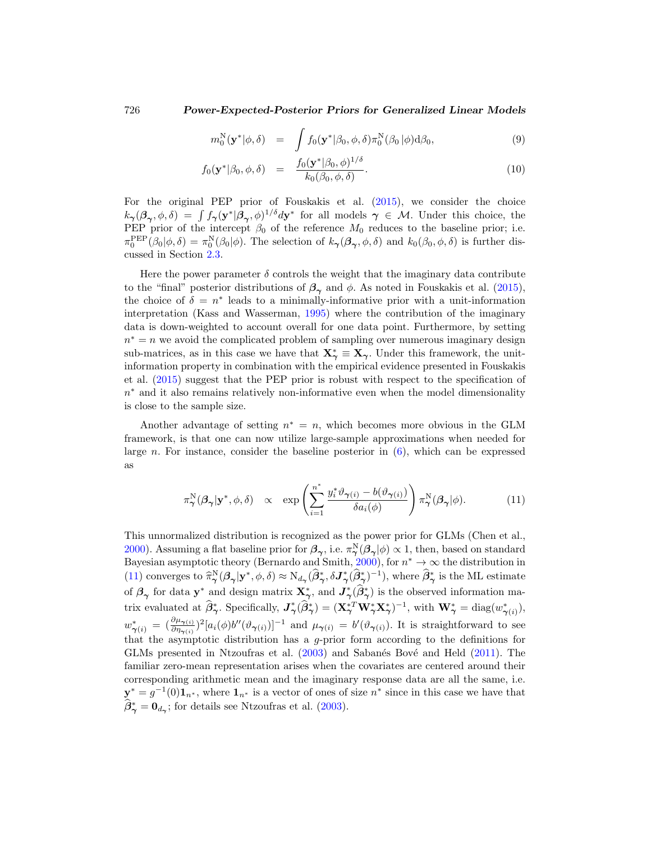$$
m_0^N(\mathbf{y}^*|\phi,\delta) = \int f_0(\mathbf{y}^*|\beta_0,\phi,\delta)\pi_0^N(\beta_0|\phi)d\beta_0, \qquad (9)
$$

$$
f_0(\mathbf{y}^*|\beta_0, \phi, \delta) = \frac{f_0(\mathbf{y}^*|\beta_0, \phi)^{1/\delta}}{k_0(\beta_0, \phi, \delta)}.
$$
\n(10)

For the original PEP prior of Fouskakis et al. [\(2015](#page-25-4)), we consider the choice  $k_{\gamma}(\beta_{\gamma}, \phi, \delta) = \int f_{\gamma}(\mathbf{y}^*|\beta_{\gamma}, \phi)^{1/\delta} d\mathbf{y}^*$  for all models  $\gamma \in \mathcal{M}$ . Under this choice, the PEP prior of the intercept  $\beta_0$  of the reference  $M_0$  reduces to the baseline prior; i.e.  $\pi_0^{\text{PEP}}(\beta_0|\phi,\delta) = \pi_0^{\text{N}}(\beta_0|\phi)$ . The selection of  $k_\gamma(\beta_\gamma,\phi,\delta)$  and  $k_0(\beta_0,\phi,\delta)$  is further discussed in Section [2.3.](#page-7-0)

Here the power parameter  $\delta$  controls the weight that the imaginary data contribute to the "final" posterior distributions of  $\beta_{\gamma}$  and  $\phi$ . As noted in Fouskakis et al. [\(2015\)](#page-25-4), the choice of  $\delta = n^*$  leads to a minimally-informative prior with a unit-information interpretation (Kass and Wasserman, [1995\)](#page-26-1) where the contribution of the imaginary data is down-weighted to account overall for one data point. Furthermore, by setting  $n<sup>*</sup> = n$  we avoid the complicated problem of sampling over numerous imaginary design sub-matrices, as in this case we have that  $X^*_{\gamma} \equiv X_{\gamma}$ . Under this framework, the unitinformation property in combination with the empirical evidence presented in Fouskakis et al. [\(2015](#page-25-4)) suggest that the PEP prior is robust with respect to the specification of  $n<sup>*</sup>$  and it also remains relatively non-informative even when the model dimensionality is close to the sample size.

Another advantage of setting  $n^* = n$ , which becomes more obvious in the GLM framework, is that one can now utilize large-sample approximations when needed for large n. For instance, consider the baseline posterior in  $(6)$ , which can be expressed as

<span id="page-6-0"></span>
$$
\pi_{\gamma}^{\mathcal{N}}(\beta_{\gamma}|\mathbf{y}^*,\phi,\delta) \propto \exp\left(\sum_{i=1}^{n^*} \frac{y_i^* \vartheta_{\gamma(i)} - b(\vartheta_{\gamma(i)})}{\delta a_i(\phi)}\right) \pi_{\gamma}^{\mathcal{N}}(\beta_{\gamma}|\phi). \tag{11}
$$

This unnormalized distribution is recognized as the power prior for GLMs (Chen et al., [2000\)](#page-25-10). Assuming a flat baseline prior for  $\beta_{\gamma}$ , i.e.  $\pi_{\gamma}^{N}(\beta_{\gamma}|\phi) \propto 1$ , then, based on standard Bayesian asymptotic theory (Bernardo and Smith, [2000\)](#page-25-11), for  $n^* \to \infty$  the distribution in [\(11\)](#page-6-0) converges to  $\hat{\pi}_{\gamma}^{N}(\beta_{\gamma}|\mathbf{y}^*, \phi, \delta) \approx N_{d_{\gamma}}(\hat{\beta}_{\gamma}^*, \delta \mathbf{J}_{\gamma}^*(\hat{\beta}_{\gamma}^*)^{-1})$ , where  $\hat{\beta}_{\gamma}^*$  is the ML estimate of  $\beta_{\gamma}$  for data **y**<sup>\*</sup> and design matrix  $X^*_{\gamma}$ , and  $J^*_{\gamma}(\beta^*_{\gamma})$  is the observed information matrix evaluated at  $\hat{\boldsymbol{\beta}}^*_{\boldsymbol{\gamma}}$ . Specifically,  $\boldsymbol{J}^*_{\boldsymbol{\gamma}}(\hat{\boldsymbol{\beta}}^*_{\boldsymbol{\gamma}}) = (\mathbf{X}^{*T}_{\boldsymbol{\gamma}} \mathbf{W}^*_{\boldsymbol{\gamma}} \mathbf{X}^*_{\boldsymbol{\gamma}})^{-1}$ , with  $\mathbf{W}^*_{\boldsymbol{\gamma}} = \text{diag}(w^*_{\boldsymbol{\gamma}(i)}),$  $w^*_{\boldsymbol{\gamma}(i)} = (\frac{\partial \mu_{\boldsymbol{\gamma}(i)}}{\partial \eta_{\boldsymbol{\gamma}(i)}})^2 [a_i(\phi) b''(\vartheta_{\boldsymbol{\gamma}(i)})]^{-1}$  and  $\mu_{\boldsymbol{\gamma}(i)} = b'(\vartheta_{\boldsymbol{\gamma}(i)})$ . It is straightforward to see that the asymptotic distribution has a g-prior form according to the definitions for GLMs presented in Ntzoufras et al. [\(2003](#page-27-2)) and Sabanés Bové and Held [\(2011](#page-27-3)). The familiar zero-mean representation arises when the covariates are centered around their corresponding arithmetic mean and the imaginary response data are all the same, i.e.  $y^* = g^{-1}(0) \mathbf{1}_{n^*}$ , where  $\mathbf{1}_{n^*}$  is a vector of ones of size  $n^*$  since in this case we have that  $\beta^*_{\gamma} = \mathbf{0}_{d_{\gamma}}$ ; for details see Ntzoufras et al. [\(2003\)](#page-27-2).

<span id="page-6-1"></span>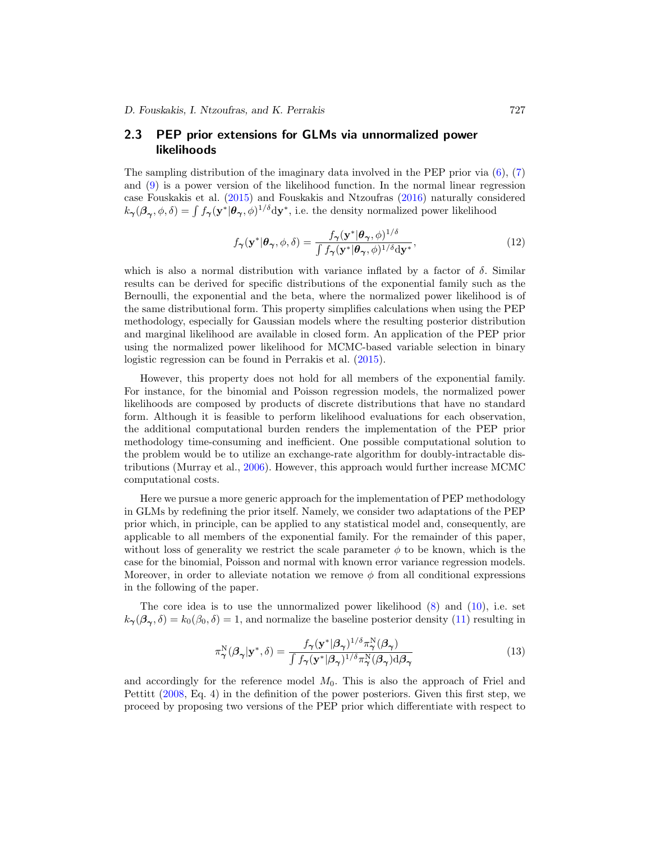### <span id="page-7-2"></span><span id="page-7-0"></span>**2.3 PEP prior extensions for GLMs via unnormalized power likelihoods**

The sampling distribution of the imaginary data involved in the PEP prior via  $(6)$ ,  $(7)$ and [\(9\)](#page-5-1) is a power version of the likelihood function. In the normal linear regression case Fouskakis et al. [\(2015\)](#page-25-4) and Fouskakis and Ntzoufras [\(2016\)](#page-25-8) naturally considered  $k_{\gamma}(\beta_{\gamma}, \phi, \delta) = \int f_{\gamma}(\mathbf{y}^*|\theta_{\gamma}, \phi)^{1/\delta} d\mathbf{y}^*$ , i.e. the density normalized power likelihood

$$
f_{\gamma}(\mathbf{y}^*|\boldsymbol{\theta}_{\gamma}, \phi, \delta) = \frac{f_{\gamma}(\mathbf{y}^*|\boldsymbol{\theta}_{\gamma}, \phi)^{1/\delta}}{\int f_{\gamma}(\mathbf{y}^*|\boldsymbol{\theta}_{\gamma}, \phi)^{1/\delta} \mathrm{d}\mathbf{y}^*},\tag{12}
$$

which is also a normal distribution with variance inflated by a factor of  $\delta$ . Similar results can be derived for specific distributions of the exponential family such as the Bernoulli, the exponential and the beta, where the normalized power likelihood is of the same distributional form. This property simplifies calculations when using the PEP methodology, especially for Gaussian models where the resulting posterior distribution and marginal likelihood are available in closed form. An application of the PEP prior using the normalized power likelihood for MCMC-based variable selection in binary logistic regression can be found in Perrakis et al. [\(2015](#page-27-8)).

However, this property does not hold for all members of the exponential family. For instance, for the binomial and Poisson regression models, the normalized power likelihoods are composed by products of discrete distributions that have no standard form. Although it is feasible to perform likelihood evaluations for each observation, the additional computational burden renders the implementation of the PEP prior methodology time-consuming and inefficient. One possible computational solution to the problem would be to utilize an exchange-rate algorithm for doubly-intractable distributions (Murray et al., [2006](#page-27-9)). However, this approach would further increase MCMC computational costs.

Here we pursue a more generic approach for the implementation of PEP methodology in GLMs by redefining the prior itself. Namely, we consider two adaptations of the PEP prior which, in principle, can be applied to any statistical model and, consequently, are applicable to all members of the exponential family. For the remainder of this paper, without loss of generality we restrict the scale parameter  $\phi$  to be known, which is the case for the binomial, Poisson and normal with known error variance regression models. Moreover, in order to alleviate notation we remove  $\phi$  from all conditional expressions in the following of the paper.

The core idea is to use the unnormalized power likelihood  $(8)$  and  $(10)$ , i.e. set  $k_{\gamma}(\beta_{\gamma},\delta) = k_0(\beta_0,\delta) = 1$ , and normalize the baseline posterior density [\(11\)](#page-6-0) resulting in

<span id="page-7-1"></span>
$$
\pi_{\gamma}^{\mathcal{N}}(\beta_{\gamma}|\mathbf{y}^*,\delta) = \frac{f_{\gamma}(\mathbf{y}^*|\beta_{\gamma})^{1/\delta}\pi_{\gamma}^{\mathcal{N}}(\beta_{\gamma})}{\int f_{\gamma}(\mathbf{y}^*|\beta_{\gamma})^{1/\delta}\pi_{\gamma}^{\mathcal{N}}(\beta_{\gamma})\mathrm{d}\beta_{\gamma}}
$$
(13)

and accordingly for the reference model  $M_0$ . This is also the approach of Friel and Pettitt [\(2008](#page-26-8), Eq. 4) in the definition of the power posteriors. Given this first step, we proceed by proposing two versions of the PEP prior which differentiate with respect to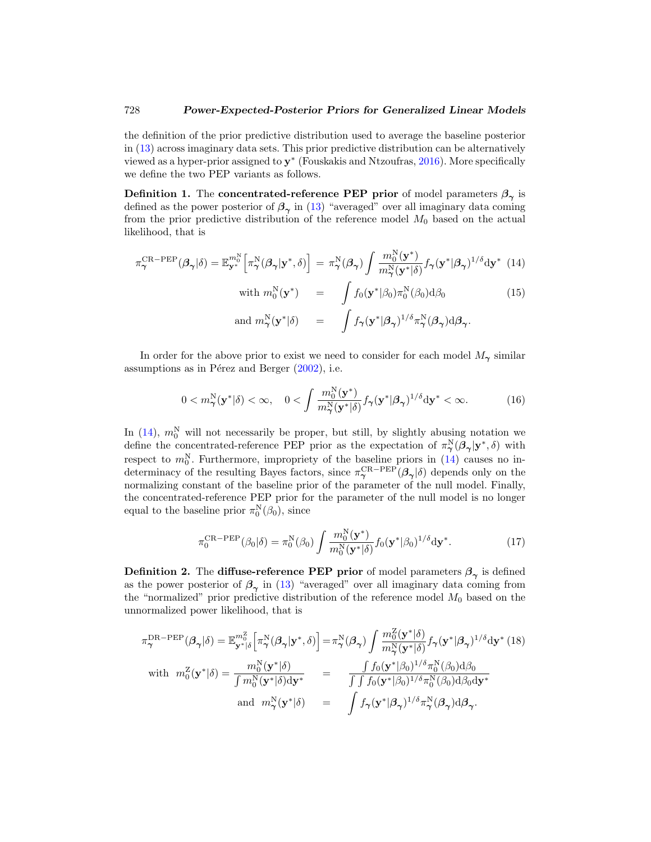<span id="page-8-5"></span>the definition of the prior predictive distribution used to average the baseline posterior in [\(13\)](#page-7-1) across imaginary data sets. This prior predictive distribution can be alternatively viewed as a hyper-prior assigned to **y**<sup>∗</sup> (Fouskakis and Ntzoufras, [2016\)](#page-25-8). More specifically we define the two PEP variants as follows.

<span id="page-8-2"></span>**Definition 1.** The **concentrated-reference PEP prior** of model parameters  $\beta_{\gamma}$  is defined as the power posterior of  $\beta_{\gamma}$  in [\(13\)](#page-7-1) "averaged" over all imaginary data coming from the prior predictive distribution of the reference model  $M_0$  based on the actual likelihood, that is

<span id="page-8-0"></span>
$$
\pi_{\gamma}^{\text{CR-PEP}}(\beta_{\gamma}|\delta) = \mathbb{E}_{\mathbf{y}^*}^{m_0^N} \left[ \pi_{\gamma}^N(\beta_{\gamma}|\mathbf{y}^*,\delta) \right] = \pi_{\gamma}^N(\beta_{\gamma}) \int \frac{m_0^N(\mathbf{y}^*)}{m_{\gamma}^N(\mathbf{y}^*|\delta)} f_{\gamma}(\mathbf{y}^*|\beta_{\gamma})^{1/\delta} d\mathbf{y}^* \tag{14}
$$

with 
$$
m_0^N(\mathbf{y}^*)
$$
 =  $\int f_0(\mathbf{y}^*|\beta_0)\pi_0^N(\beta_0)d\beta_0$  (15)  
and  $m_\gamma^N(\mathbf{y}^*|\delta)$  =  $\int f_\gamma(\mathbf{y}^*|\beta_\gamma)^{1/\delta}\pi_\gamma^N(\beta_\gamma)d\beta_\gamma.$ 

In order for the above prior to exist we need to consider for each model  $M_{\gamma}$  similar assumptions as in Pérez and Berger  $(2002)$ , i.e.

<span id="page-8-1"></span>
$$
0 < m_\gamma^N(\mathbf{y}^*|\delta) < \infty, \quad 0 < \int \frac{m_0^N(\mathbf{y}^*)}{m_\gamma^N(\mathbf{y}^*|\delta)} f_\gamma(\mathbf{y}^*|\beta_\gamma)^{1/\delta} d\mathbf{y}^* < \infty. \tag{16}
$$

In  $(14)$ ,  $m_0^N$  will not necessarily be proper, but still, by slightly abusing notation we define the concentrated-reference PEP prior as the expectation of  $\pi_{\gamma}^{N}(\beta_{\gamma}|\mathbf{y}^*,\delta)$  with respect to  $m_0^N$ . Furthermore, impropriety of the baseline priors in [\(14\)](#page-8-0) causes no indeterminacy of the resulting Bayes factors, since  $\pi_{\gamma}^{\text{CR-PEP}}(\beta_{\gamma}|\delta)$  depends only on the normalizing constant of the baseline prior of the parameter of the null model. Finally, the concentrated-reference PEP prior for the parameter of the null model is no longer equal to the baseline prior  $\pi_0^N(\beta_0)$ , since

$$
\pi_0^{\text{CR-PEP}}(\beta_0|\delta) = \pi_0^{\text{N}}(\beta_0) \int \frac{m_0^{\text{N}}(\mathbf{y}^*)}{m_0^{\text{N}}(\mathbf{y}^*|\delta)} f_0(\mathbf{y}^*|\beta_0)^{1/\delta} d\mathbf{y}^*.
$$
 (17)

<span id="page-8-3"></span>**Definition 2.** The **diffuse-reference PEP prior** of model parameters  $\beta_{\gamma}$  is defined as the power posterior of  $\beta_{\gamma}$  in [\(13\)](#page-7-1) "averaged" over all imaginary data coming from the "normalized" prior predictive distribution of the reference model  $M_0$  based on the unnormalized power likelihood, that is

<span id="page-8-4"></span>
$$
\pi_{\gamma}^{\text{DR-PEP}}(\beta_{\gamma}|\delta) = \mathbb{E}_{\mathbf{y}^{*}|\delta}^{m_{0}^{Z}}\left[\pi_{\gamma}^{\text{N}}(\beta_{\gamma}|\mathbf{y}^{*},\delta)\right] = \pi_{\gamma}^{\text{N}}(\beta_{\gamma})\int \frac{m_{0}^{Z}(\mathbf{y}^{*}|\delta)}{m_{\gamma}^{\text{N}}(\mathbf{y}^{*}|\delta)}f_{\gamma}(\mathbf{y}^{*}|\beta_{\gamma})^{1/\delta}\mathrm{d}\mathbf{y}^{*} \tag{18}
$$
\nwith 
$$
m_{0}^{Z}(\mathbf{y}^{*}|\delta) = \frac{m_{0}^{\text{N}}(\mathbf{y}^{*}|\delta)}{\int m_{0}^{\text{N}}(\mathbf{y}^{*}|\delta)\mathrm{d}\mathbf{y}^{*}} = \frac{\int f_{0}(\mathbf{y}^{*}|\beta_{0})^{1/\delta}\pi_{0}^{\text{N}}(\beta_{0})\mathrm{d}\beta_{0}}{\int \int f_{0}(\mathbf{y}^{*}|\beta_{0})^{1/\delta}\pi_{0}^{\text{N}}(\beta_{0})\mathrm{d}\beta_{0}\mathrm{d}\mathbf{y}^{*}}
$$
\nand 
$$
m_{\gamma}^{\text{N}}(\mathbf{y}^{*}|\delta) = \int f_{\gamma}(\mathbf{y}^{*}|\beta_{\gamma})^{1/\delta}\pi_{\gamma}^{\text{N}}(\beta_{\gamma})\mathrm{d}\beta_{\gamma}.
$$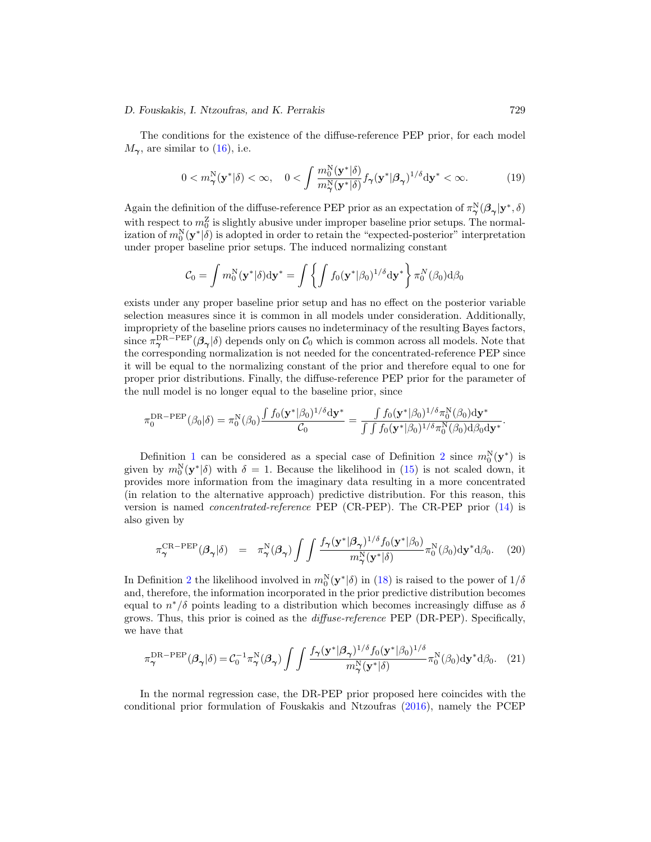#### <span id="page-9-2"></span>*D. Fouskakis, I. Ntzoufras, and K. Perrakis* 729

The conditions for the existence of the diffuse-reference PEP prior, for each model  $M_{\gamma}$ , are similar to [\(16\)](#page-8-1), i.e.

$$
0 < m_\gamma^N(\mathbf{y}^*|\delta) < \infty, \quad 0 < \int \frac{m_0^N(\mathbf{y}^*|\delta)}{m_\gamma^N(\mathbf{y}^*|\delta)} f_\gamma(\mathbf{y}^*|\beta_\gamma)^{1/\delta} d\mathbf{y}^* < \infty. \tag{19}
$$

Again the definition of the diffuse-reference PEP prior as an expectation of  $\pi_\gamma^N(\beta_\gamma|\mathbf{y}^*,\delta)$ with respect to  $m_0^Z$  is slightly abusive under improper baseline prior setups. The normalization of  $m_0^N(\mathbf{y}^*|\delta)$  is adopted in order to retain the "expected-posterior" interpretation under proper baseline prior setups. The induced normalizing constant

$$
C_0 = \int m_0^N(\mathbf{y}^*|\delta) d\mathbf{y}^* = \int \left\{ \int f_0(\mathbf{y}^*|\beta_0)^{1/\delta} d\mathbf{y}^* \right\} \pi_0^N(\beta_0) d\beta_0
$$

exists under any proper baseline prior setup and has no effect on the posterior variable selection measures since it is common in all models under consideration. Additionally, impropriety of the baseline priors causes no indeterminacy of the resulting Bayes factors, since  $\pi_\gamma^{\text{DR-PEP}}(\beta_\gamma|\delta)$  depends only on  $\mathcal{C}_0$  which is common across all models. Note that the corresponding normalization is not needed for the concentrated-reference PEP since it will be equal to the normalizing constant of the prior and therefore equal to one for proper prior distributions. Finally, the diffuse-reference PEP prior for the parameter of the null model is no longer equal to the baseline prior, since

$$
\pi_0^{\mathrm{DR-PEP}}(\beta_0|\delta)=\pi_0^{\mathrm{N}}(\beta_0)\frac{\int f_0(\mathbf{y}^*|\beta_0)^{1/\delta}\mathrm{d}\mathbf{y}^*}{\mathcal{C}_0}=\frac{\int f_0(\mathbf{y}^*|\beta_0)^{1/\delta}\pi_0^{\mathrm{N}}(\beta_0)\mathrm{d}\mathbf{y}^*}{\int \int f_0(\mathbf{y}^*|\beta_0)^{1/\delta}\pi_0^{\mathrm{N}}(\beta_0)\mathrm{d}\beta_0\mathrm{d}\mathbf{y}^*}.
$$

Definition [1](#page-8-2) can be considered as a special case of Definition [2](#page-8-3) since  $m_0^N(y^*)$  is given by  $m_0^N(\mathbf{y}^*|\delta)$  with  $\delta = 1$ . Because the likelihood in [\(15\)](#page-8-0) is not scaled down, it provides more information from the imaginary data resulting in a more concentrated (in relation to the alternative approach) predictive distribution. For this reason, this version is named concentrated-reference PEP (CR-PEP). The CR-PEP prior [\(14\)](#page-8-0) is also given by

<span id="page-9-0"></span>
$$
\pi_{\gamma}^{\text{CR-PEP}}(\beta_{\gamma}|\delta) = \pi_{\gamma}^{\text{N}}(\beta_{\gamma}) \int \int \frac{f_{\gamma}(\mathbf{y}^{*}|\beta_{\gamma})^{1/\delta} f_{0}(\mathbf{y}^{*}|\beta_{0})}{m_{\gamma}^{\text{N}}(\mathbf{y}^{*}|\delta)} \pi_{0}^{\text{N}}(\beta_{0}) d\mathbf{y}^{*} d\beta_{0}.
$$
 (20)

In Definition [2](#page-8-3) the likelihood involved in  $m_0^N(y^*|\delta)$  in [\(18\)](#page-8-4) is raised to the power of  $1/\delta$ and, therefore, the information incorporated in the prior predictive distribution becomes equal to  $n^*/\delta$  points leading to a distribution which becomes increasingly diffuse as  $\delta$ grows. Thus, this prior is coined as the diffuse-reference PEP (DR-PEP). Specifically, we have that

<span id="page-9-1"></span>
$$
\pi_{\gamma}^{\text{DR-PEP}}(\beta_{\gamma}|\delta) = C_0^{-1} \pi_{\gamma}^{\text{N}}(\beta_{\gamma}) \int \int \frac{f_{\gamma}(\mathbf{y}^*|\beta_{\gamma})^{1/\delta} f_{0}(\mathbf{y}^*|\beta_{0})^{1/\delta}}{m_{\gamma}^{\text{N}}(\mathbf{y}^*|\delta)} \pi_0^{\text{N}}(\beta_0) d\mathbf{y}^* d\beta_0. (21)
$$

In the normal regression case, the DR-PEP prior proposed here coincides with the conditional prior formulation of Fouskakis and Ntzoufras [\(2016](#page-25-8)), namely the PCEP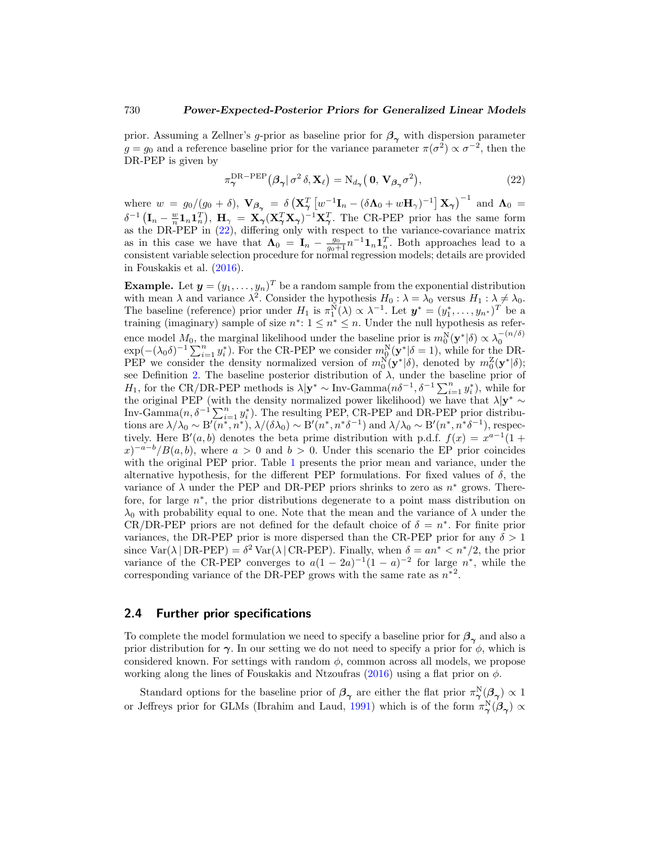<span id="page-10-2"></span>prior. Assuming a Zellner's g-prior as baseline prior for  $\beta_{\gamma}$  with dispersion parameter  $g = g_0$  and a reference baseline prior for the variance parameter  $\pi(\sigma^2) \propto \sigma^{-2}$ , then the DR-PEP is given by

<span id="page-10-0"></span>
$$
\pi_{\gamma}^{\text{DR-PEP}}(\beta_{\gamma}|\sigma^2 \delta, \mathbf{X}_{\ell}) = N_{d_{\gamma}}(\mathbf{0}, \mathbf{V}_{\beta_{\gamma}}\sigma^2), \qquad (22)
$$

where  $w = g_0/(g_0 + \delta)$ ,  $\mathbf{V}_{\beta_{\gamma}} = \delta \left( \mathbf{X}_{\gamma}^T \left[ w^{-1} \mathbf{I}_n - (\delta \mathbf{\Lambda}_0 + w \mathbf{H}_{\gamma})^{-1} \right] \mathbf{X}_{\gamma} \right)^{-1}$  and  $\mathbf{\Lambda}_0 =$  $\delta^{-1}(\mathbf{I}_n - \frac{w}{n}\mathbf{1}_n\mathbf{1}_n^T), \ \mathbf{H}_{\gamma} = \mathbf{X}_{\gamma}(\mathbf{X}_{\gamma}^T\mathbf{X}_{\gamma})^{-1}\mathbf{X}_{\gamma}^T.$  The CR-PEP prior has the same form as the DR-PEP in [\(22\)](#page-10-0), differing only with respect to the variance-covariance matrix as in this case we have that  $\Lambda_0 = I_n - \frac{g_0}{g_0 + 1} n^{-1} \mathbf{1}_n \mathbf{1}_n^T$ . Both approaches lead to a consistent variable selection procedure for normal regression models; details are provided in Fouskakis et al. [\(2016\)](#page-26-9).

**Example.** Let  $y = (y_1, \ldots, y_n)^T$  be a random sample from the exponential distribution with mean  $\lambda$  and variance  $\lambda^2$ . Consider the hypothesis  $H_0 : \lambda = \lambda_0$  versus  $H_1 : \lambda \neq \lambda_0$ . The baseline (reference) prior under  $H_1$  is  $\pi_1^N(\lambda) \propto \lambda^{-1}$ . Let  $\mathbf{y}^* = (y_1^*, \ldots, y_{n^*})^T$  be a training (imaginary) sample of size  $n^*$ :  $1 \leq n^* \leq n$ . Under the null hypothesis as reference model  $M_0$ , the marginal likelihood under the baseline prior is  $m_0^N(\mathbf{y}^*|\delta) \propto \lambda_0^{-(n/\delta)}$ <br>exp(-( $\lambda_0\delta$ )<sup>-1</sup>  $\sum_{i=1}^n y_i^*$ ). For the CR-PEP we consider  $m_0^N(\mathbf{y}^*|\delta = 1)$ , while for the DR-PEP we consider the density normalized version of  $m_0^N(\mathbf{y}^*|\delta)$ , denoted by  $m_0^Z(\mathbf{y}^*|\delta)$ ; see Definition [2.](#page-8-3) The baseline posterior distribution of  $\lambda$ , under the baseline prior of H<sub>1</sub>, for the CR/DR-PEP methods is  $\lambda | \mathbf{y}^* \sim \text{Inv-Gamma}(n\delta^{-1}, \delta^{-1} \sum_{i=1}^n y_i^*)$ , while for the original PEP (with the density normalized power likelihood) we have that  $\lambda |y^* \sim$ Inv-Gamma $(n, \delta^{-1} \sum_{i=1}^{n} y_i^*)$ . The resulting PEP, CR-PEP and DR-PEP prior distributions are  $\lambda/\lambda_0 \sim B'(n^*, n^*)$ ,  $\lambda/(\delta\lambda_0) \sim B'(n^*, n^*\delta^{-1})$  and  $\lambda/\lambda_0 \sim B'(n^*, n^*\delta^{-1})$ , respectively. Here B'(a, b) denotes the beta prime distribution with p.d.f.  $f(x) = x^{a-1}(1 +$  $(x)^{-a-b}/B(a, b)$ , where  $a > 0$  and  $b > 0$ . Under this scenario the EP prior coincides with the original PEP prior. Table [1](#page-11-1) presents the prior mean and variance, under the alternative hypothesis, for the different PEP formulations. For fixed values of  $\delta$ , the variance of  $\lambda$  under the PEP and DR-PEP priors shrinks to zero as  $n^*$  grows. Therefore, for large n∗, the prior distributions degenerate to a point mass distribution on  $\lambda_0$  with probability equal to one. Note that the mean and the variance of  $\lambda$  under the CR/DR-PEP priors are not defined for the default choice of  $\delta = n^*$ . For finite prior variances, the DR-PEP prior is more dispersed than the CR-PEP prior for any  $\delta > 1$ since  $\text{Var}(\lambda | \text{DR-PEP}) = \delta^2 \text{Var}(\lambda | \text{CR-PEP})$ . Finally, when  $\delta = an^* < n^*/2$ , the prior variance of the CR-PEP converges to  $a(1 - 2a)^{-1}(1 - a)^{-2}$  for large  $n^*$ , while the corresponding variance of the DR-PEP grows with the same rate as  $n^{*2}$ .

### <span id="page-10-1"></span>**2.4 Further prior specifications**

To complete the model formulation we need to specify a baseline prior for  $\beta_{\gamma}$  and also a prior distribution for  $\gamma$ . In our setting we do not need to specify a prior for  $\phi$ , which is considered known. For settings with random  $\phi$ , common across all models, we propose working along the lines of Fouskakis and Ntzoufras [\(2016](#page-25-8)) using a flat prior on  $\phi$ .

Standard options for the baseline prior of  $\beta_{\gamma}$  are either the flat prior  $\pi_{\gamma}^N(\beta_{\gamma}) \propto 1$ or Jeffreys prior for GLMs (Ibrahim and Laud, [1991](#page-26-6)) which is of the form  $\pi_\gamma^N(\beta_\gamma) \propto$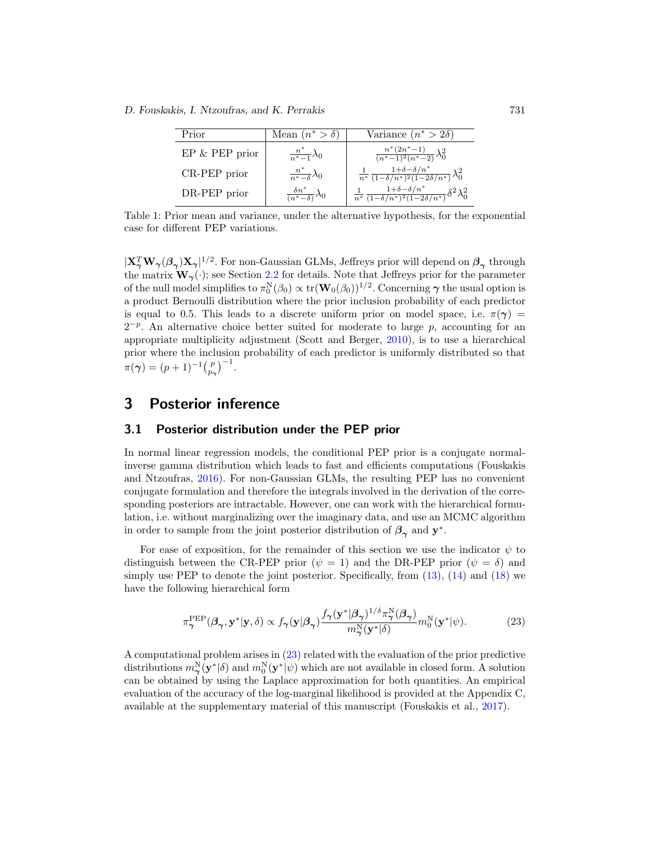<span id="page-11-3"></span>*D. Fouskakis, I. Ntzoufras, and K. Perrakis* 731

| Prior                | Mean $(n^* > \delta)$                      | Variance $(n^* > 2\delta)$                                                                    |
|----------------------|--------------------------------------------|-----------------------------------------------------------------------------------------------|
| $EP \& PEP \, prior$ | $\frac{n^*}{n^*-1}\lambda_0$               | $\frac{n^*(2n^*-1)}{(n^*-1)^2(n^*-2)}\lambda_0^2$                                             |
| CR-PEP prior         | $\frac{n^*}{n^*-\delta}\lambda_0$          | $\frac{1}{n^*} \frac{1+\delta-\delta/n^*}{(1-\delta/n^*)^2(1-2\delta/n^*)} \lambda_0^2$       |
| DR-PEP prior         | $\frac{\delta n^*}{(n^*-\delta)}\lambda_0$ | $\frac{1}{n^*}\frac{1+\delta-\delta/n^*}{(1-\delta/n^*)^2(1-2\delta/n^*)}\delta^2\lambda_0^2$ |

<span id="page-11-1"></span>Table 1: Prior mean and variance, under the alternative hypothesis, for the exponential case for different PEP variations.

 $|X^T_\gamma W_\gamma(\beta_\gamma)X_\gamma|^{1/2}$ . For non-Gaussian GLMs, Jeffreys prior will depend on  $\beta_\gamma$  through the matrix  $W_\gamma(\cdot)$ ; see Section [2.2](#page-4-2) for details. Note that Jeffreys prior for the parameter of the null model simplifies to  $\pi_0^N(\beta_0) \propto \text{tr}(\mathbf{W}_0(\beta_0))^{1/2}$ . Concerning  $\gamma$  the usual option is a product Bernoulli distribution where the prior inclusion probability of each predictor is equal to 0.5. This leads to a discrete uniform prior on model space, i.e.  $\pi(\gamma)$  $2^{-p}$ . An alternative choice better suited for moderate to large p, accounting for an appropriate multiplicity adjustment (Scott and Berger, [2010\)](#page-27-10), is to use a hierarchical prior where the inclusion probability of each predictor is uniformly distributed so that  $\pi(\gamma) = (p+1)^{-1} {p \choose p_{\gamma}}^{-1}.$ 

# <span id="page-11-0"></span>**3 Posterior inference**

### **3.1 Posterior distribution under the PEP prior**

In normal linear regression models, the conditional PEP prior is a conjugate normalinverse gamma distribution which leads to fast and efficients computations (Fouskakis and Ntzoufras, [2016\)](#page-25-8). For non-Gaussian GLMs, the resulting PEP has no convenient conjugate formulation and therefore the integrals involved in the derivation of the corresponding posteriors are intractable. However, one can work with the hierarchical formulation, i.e. without marginalizing over the imaginary data, and use an MCMC algorithm in order to sample from the joint posterior distribution of  $\beta_{\gamma}$  and  $y^*$ .

For ease of exposition, for the remainder of this section we use the indicator  $\psi$  to distinguish between the CR-PEP prior ( $\psi = 1$ ) and the DR-PEP prior ( $\psi = \delta$ ) and simply use PEP to denote the joint posterior. Specifically, from  $(13)$ ,  $(14)$  and  $(18)$  we have the following hierarchical form

<span id="page-11-2"></span>
$$
\pi_{\gamma}^{\text{PEP}}(\beta_{\gamma}, \mathbf{y}^*|\mathbf{y}, \delta) \propto f_{\gamma}(\mathbf{y}|\beta_{\gamma}) \frac{f_{\gamma}(\mathbf{y}^*|\beta_{\gamma})^{1/\delta} \pi_{\gamma}^{\text{N}}(\beta_{\gamma})}{m_{\gamma}^{\text{N}}(\mathbf{y}^*|\delta)} m_0^{\text{N}}(\mathbf{y}^*|\psi). \tag{23}
$$

A computational problem arises in [\(23\)](#page-11-2) related with the evaluation of the prior predictive distributions  $m_\gamma^N(\mathbf{y}^*|\delta)$  and  $m_0^N(\mathbf{y}^*|\psi)$  which are not available in closed form. A solution can be obtained by using the Laplace approximation for both quantities. An empirical evaluation of the accuracy of the log-marginal likelihood is provided at the Appendix C, available at the supplementary material of this manuscript (Fouskakis et al., [2017](#page-26-10)).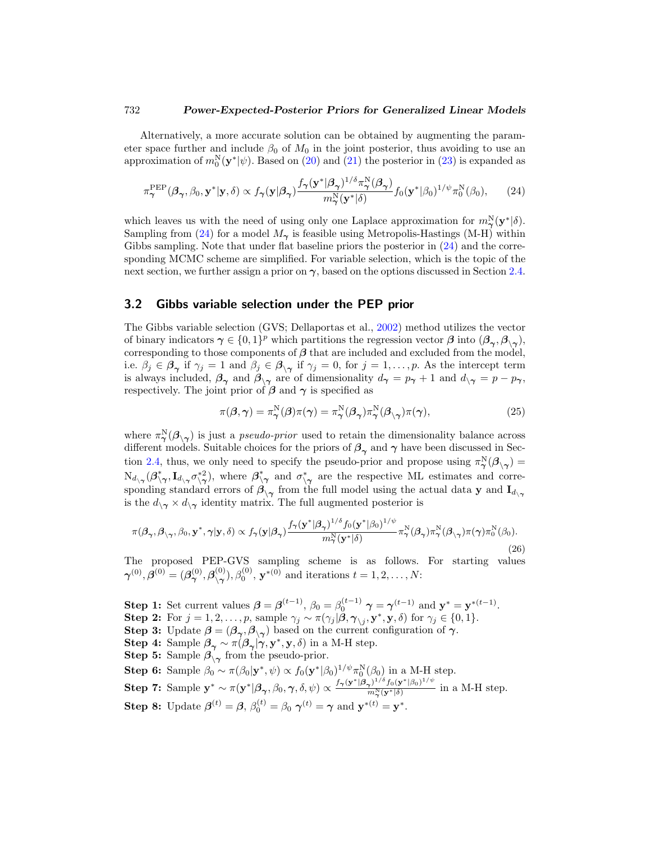<span id="page-12-2"></span>Alternatively, a more accurate solution can be obtained by augmenting the parameter space further and include  $\beta_0$  of  $M_0$  in the joint posterior, thus avoiding to use an approximation of  $m_0^N(\mathbf{y}^*|\psi)$ . Based on [\(20\)](#page-9-0) and [\(21\)](#page-9-1) the posterior in [\(23\)](#page-11-2) is expanded as

<span id="page-12-0"></span>
$$
\pi_{\boldsymbol{\gamma}}^{\text{PEP}}(\boldsymbol{\beta}_{\boldsymbol{\gamma}},\beta_{0},\mathbf{y}^{*}|\mathbf{y},\delta) \propto f_{\boldsymbol{\gamma}}(\mathbf{y}|\boldsymbol{\beta}_{\boldsymbol{\gamma}}) \frac{f_{\boldsymbol{\gamma}}(\mathbf{y}^{*}|\boldsymbol{\beta}_{\boldsymbol{\gamma}})^{1/\delta}\pi_{\boldsymbol{\gamma}}^{\text{N}}(\boldsymbol{\beta}_{\boldsymbol{\gamma}})}{m_{\boldsymbol{\gamma}}^{\text{N}}(\mathbf{y}^{*}|\delta)} f_{0}(\mathbf{y}^{*}|\beta_{0})^{1/\psi}\pi_{0}^{\text{N}}(\beta_{0}),\qquad(24)
$$

which leaves us with the need of using only one Laplace approximation for  $m_\gamma^N(\mathbf{y}^*|\delta)$ . Sampling from [\(24\)](#page-12-0) for a model  $M_{\gamma}$  is feasible using Metropolis-Hastings (M-H) within Gibbs sampling. Note that under flat baseline priors the posterior in  $(24)$  and the corresponding MCMC scheme are simplified. For variable selection, which is the topic of the next section, we further assign a prior on  $\gamma$ , based on the options discussed in Section [2.4.](#page-10-1)

### **3.2 Gibbs variable selection under the PEP prior**

The Gibbs variable selection (GVS; Dellaportas et al., [2002](#page-25-12)) method utilizes the vector of binary indicators  $\gamma \in \{0,1\}^p$  which partitions the regression vector  $\beta$  into  $(\beta_\gamma, \beta_\gamma)$ , corresponding to those components of  $\beta$  that are included and excluded from the model, i.e.  $\beta_j \in \beta_\gamma$  if  $\gamma_j = 1$  and  $\beta_j \in \beta_{\gamma}$  if  $\gamma_j = 0$ , for  $j = 1, \ldots, p$ . As the intercept term is always included,  $\beta_{\gamma}$  and  $\beta_{\gamma\gamma}$  are of dimensionality  $d_{\gamma} = p_{\gamma} + 1$  and  $d_{\gamma\gamma} = p - p_{\gamma}$ , respectively. The joint prior of  $\beta$  and  $\gamma$  is specified as

$$
\pi(\boldsymbol{\beta}, \boldsymbol{\gamma}) = \pi^N_{\boldsymbol{\gamma}}(\boldsymbol{\beta})\pi(\boldsymbol{\gamma}) = \pi^N_{\boldsymbol{\gamma}}(\boldsymbol{\beta}_{\boldsymbol{\gamma}})\pi^N_{\boldsymbol{\gamma}}(\boldsymbol{\beta}_{\backslash\boldsymbol{\gamma}})\pi(\boldsymbol{\gamma}),
$$
\n(25)

where  $\pi_{\gamma}^{\mathbb{N}}(\mathcal{B}_{\setminus \gamma})$  is just a *pseudo-prior* used to retain the dimensionality balance across different models. Suitable choices for the priors of  $\beta_{\gamma}$  and  $\gamma$  have been discussed in Sec-tion [2.4,](#page-10-1) thus, we only need to specify the pseudo-prior and propose using  $\pi^N_{\gamma}(\mathcal{B}_{\gamma}) =$  $\mathrm{N}_{d_{\setminus \gamma}}(\beta^*_{\setminus \gamma}, \mathbf{I}_{d_{\setminus \gamma}}\sigma^*_{\setminus \gamma})$ , where  $\beta^*_{\setminus \gamma}$  and  $\sigma^*_{\setminus \gamma}$  are the respective ML estimates and corresponding standard errors of  $\beta_{\setminus \gamma}$  from the full model using the actual data **y** and  $\mathbf{I}_{d_{\setminus \gamma}}$ is the  $d_{\gamma \gamma} \times d_{\gamma}$  identity matrix. The full augmented posterior is

<span id="page-12-1"></span>
$$
\pi(\beta_{\gamma}, \beta_{\gamma\gamma}, \beta_0, \mathbf{y}^*, \gamma | \mathbf{y}, \delta) \propto f_{\gamma}(\mathbf{y} | \beta_{\gamma}) \frac{f_{\gamma}(\mathbf{y}^* | \beta_{\gamma})^{1/\delta} f_0(\mathbf{y}^* | \beta_0)^{1/\psi}}{m_{\gamma}^N(\mathbf{y}^* | \delta)} \pi_{\gamma}^N(\beta_{\gamma}) \pi_{\gamma}^N(\beta_{\gamma\gamma}) \pi(\gamma) \pi_0^N(\beta_0).
$$
\n(26)

The proposed PEP-GVS sampling scheme is as follows. For starting values  $\boldsymbol{\gamma}^{(0)}, \boldsymbol{\beta}^{(0)} = (\boldsymbol{\beta}_{\boldsymbol{\gamma}}^{(0)}, \boldsymbol{\beta}_{\mathbf{\gamma}}^{(0)}, \boldsymbol{\beta}_{0}^{(0)}, \mathbf{y}^{*(0)} \text{ and iterations } t = 1, 2, \ldots, N:$ 

**Step 1:** Set current values  $\boldsymbol{\beta} = \boldsymbol{\beta}^{(t-1)}$ ,  $\beta_0 = \beta_0^{(t-1)}$   $\boldsymbol{\gamma} = \boldsymbol{\gamma}^{(t-1)}$  and  $\mathbf{y}^* = \mathbf{y}^{*(t-1)}$ . **Step 2:** For  $j = 1, 2, ..., p$ , sample  $\gamma_j \sim \pi(\gamma_j | \beta, \gamma_{\setminus j}, \mathbf{y}^*, \mathbf{y}, \delta)$  for  $\gamma_j \in \{0, 1\}.$ **Step 3:** Update  $\beta = (\beta_{\gamma}, \beta_{\gamma})$  based on the current configuration of  $\gamma$ . **Step 4:** Sample  $\beta_{\gamma} \sim \pi(\beta_{\gamma}|\gamma, \mathbf{y}^*, \mathbf{y}, \delta)$  in a M-H step. **Step 5:** Sample  $\beta_{\setminus \gamma}$  from the pseudo-prior. **Step 6:** Sample  $\beta_0 \sim \pi(\beta_0 | \mathbf{y}^*, \psi) \propto f_0(\mathbf{y}^* | \beta_0)^{1/\psi} \pi_0^N(\beta_0)$  in a M-H step. **Step 7:** Sample  $\mathbf{y}^* \sim \pi(\mathbf{y}^*|\boldsymbol{\beta}_{\boldsymbol{\gamma}}, \beta_0, \boldsymbol{\gamma}, \delta, \psi) \propto \frac{f_{\boldsymbol{\gamma}}(\mathbf{y}^*|\boldsymbol{\beta}_{\boldsymbol{\gamma}})^{1/\delta}f_0(\mathbf{y}^*|\beta_0)^{1/\psi}}{m_{\boldsymbol{\gamma}}^N(\mathbf{y}^*|\delta)}$  in a M-H step. **Step 8:** Update  $\boldsymbol{\beta}^{(t)} = \boldsymbol{\beta}, \ \beta_0^{(t)} = \beta_0 \ \boldsymbol{\gamma}^{(t)} = \boldsymbol{\gamma} \text{ and } \mathbf{y}^{*(t)} = \mathbf{y}^*.$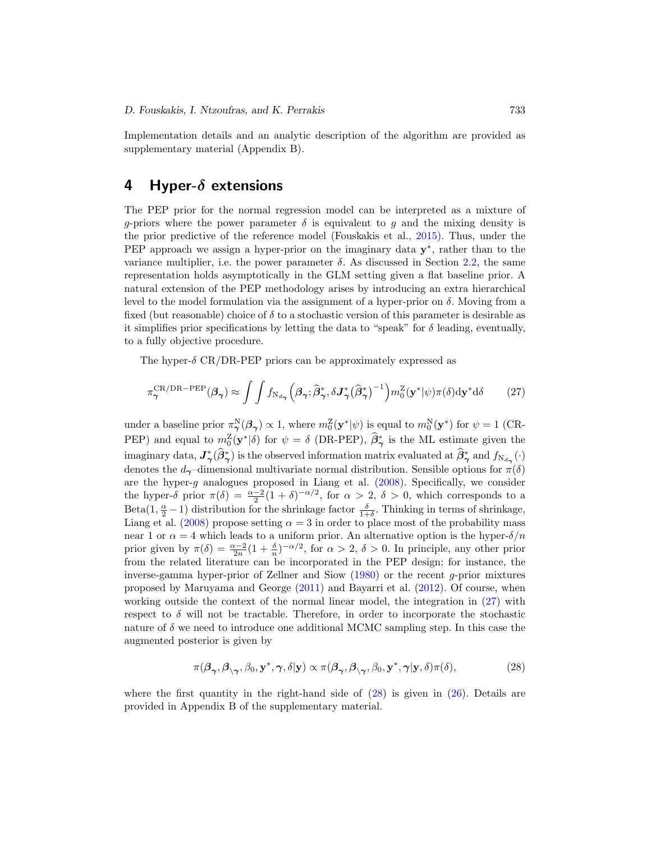<span id="page-13-3"></span>Implementation details and an analytic description of the algorithm are provided as supplementary material (Appendix B).

# <span id="page-13-0"></span>**4 Hyper-***δ* **extensions**

The PEP prior for the normal regression model can be interpreted as a mixture of g-priors where the power parameter  $\delta$  is equivalent to g and the mixing density is the prior predictive of the reference model (Fouskakis et al., [2015](#page-25-4)). Thus, under the PEP approach we assign a hyper-prior on the imaginary data **y**∗, rather than to the variance multiplier, i.e. the power parameter  $\delta$ . As discussed in Section [2.2,](#page-4-2) the same representation holds asymptotically in the GLM setting given a flat baseline prior. A natural extension of the PEP methodology arises by introducing an extra hierarchical level to the model formulation via the assignment of a hyper-prior on  $\delta$ . Moving from a fixed (but reasonable) choice of  $\delta$  to a stochastic version of this parameter is desirable as it simplifies prior specifications by letting the data to "speak" for  $\delta$  leading, eventually, to a fully objective procedure.

The hyper- $\delta$  CR/DR-PEP priors can be approximately expressed as

<span id="page-13-1"></span>
$$
\pi_{\gamma}^{\text{CR}/\text{DR}-\text{PEP}}(\beta_{\gamma}) \approx \int \int f_{\text{N}_{d_{\gamma}}}(\beta_{\gamma}; \widehat{\beta}_{\gamma}^{*}, \delta \mathbf{J}_{\gamma}^{*}(\widehat{\beta}_{\gamma}^{*})^{-1}) m_{0}^{\mathbf{Z}}(\mathbf{y}^{*}|\psi)\pi(\delta) d\mathbf{y}^{*} d\delta \qquad (27)
$$

under a baseline prior  $\pi_{\mathbf{\gamma}}^{\mathbf{N}}(\mathbf{\beta}_{\mathbf{\gamma}}) \propto 1$ , where  $m_0^{\mathbf{Z}}(\mathbf{y}^*|\psi)$  is equal to  $m_0^{\mathbf{N}}(\mathbf{y}^*)$  for  $\psi = 1$  (CR-PEP) and equal to  $m_0^Z(\mathbf{y}^*|\delta)$  for  $\psi = \delta$  (DR-PEP),  $\hat{\beta}_{\gamma}^*$  is the ML estimate given the imaginary data,  $J^*_{\gamma}(\beta^*_{\gamma})$  is the observed information matrix evaluated at  $\beta^*_{\gamma}$  and  $f_{N_{d_{\gamma}}}(\cdot)$ denotes the  $d_{\gamma}$ –dimensional multivariate normal distribution. Sensible options for  $\pi(\delta)$ are the hyper- $g$  analogues proposed in Liang et al.  $(2008)$  $(2008)$ . Specifically, we consider the hyper- $\delta$  prior  $\pi(\delta) = \frac{\alpha - 2}{2}(1 + \delta)^{-\alpha/2}$ , for  $\alpha > 2$ ,  $\delta > 0$ , which corresponds to a Beta $(1, \frac{\alpha}{2} - 1)$  distribution for the shrinkage factor  $\frac{\delta}{1+\delta}$ . Thinking in terms of shrinkage, Liang et al. [\(2008\)](#page-26-2) propose setting  $\alpha = 3$  in order to place most of the probability mass near 1 or  $\alpha = 4$  which leads to a uniform prior. An alternative option is the hyper- $\delta/n$ prior given by  $\pi(\delta) = \frac{\alpha - 2}{2n} (1 + \frac{\delta}{n})^{-\alpha/2}$ , for  $\alpha > 2$ ,  $\delta > 0$ . In principle, any other prior from the related literature can be incorporated in the PEP design; for instance, the inverse-gamma hyper-prior of Zellner and Siow [\(1980](#page-28-0)) or the recent g-prior mixtures proposed by Maruyama and George [\(2011](#page-27-11)) and Bayarri et al. [\(2012\)](#page-25-7). Of course, when working outside the context of the normal linear model, the integration in [\(27\)](#page-13-1) with respect to  $\delta$  will not be tractable. Therefore, in order to incorporate the stochastic nature of  $\delta$  we need to introduce one additional MCMC sampling step. In this case the augmented posterior is given by

<span id="page-13-2"></span>
$$
\pi(\boldsymbol{\beta}_{\boldsymbol{\gamma}},\boldsymbol{\beta}_{\backslash\boldsymbol{\gamma}},\beta_0,\mathbf{y}^*,\boldsymbol{\gamma},\delta|\mathbf{y}) \propto \pi(\boldsymbol{\beta}_{\boldsymbol{\gamma}},\boldsymbol{\beta}_{\backslash\boldsymbol{\gamma}},\beta_0,\mathbf{y}^*,\boldsymbol{\gamma}|\mathbf{y},\delta)\pi(\delta),
$$
\n(28)

where the first quantity in the right-hand side of  $(28)$  is given in  $(26)$ . Details are provided in Appendix B of the supplementary material.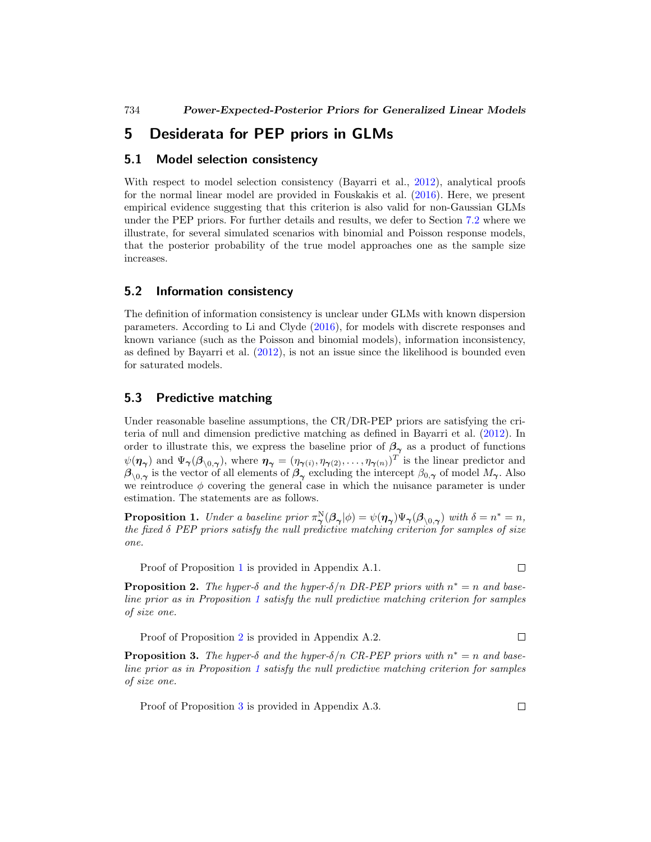# **5 Desiderata for PEP priors in GLMs**

### **5.1 Model selection consistency**

With respect to model selection consistency (Bayarri et al., [2012\)](#page-25-7), analytical proofs for the normal linear model are provided in Fouskakis et al. [\(2016](#page-26-9)). Here, we present empirical evidence suggesting that this criterion is also valid for non-Gaussian GLMs under the PEP priors. For further details and results, we defer to Section [7.2](#page-17-0) where we illustrate, for several simulated scenarios with binomial and Poisson response models, that the posterior probability of the true model approaches one as the sample size increases.

### **5.2 Information consistency**

The definition of information consistency is unclear under GLMs with known dispersion parameters. According to Li and Clyde [\(2016](#page-26-4)), for models with discrete responses and known variance (such as the Poisson and binomial models), information inconsistency, as defined by Bayarri et al. [\(2012](#page-25-7)), is not an issue since the likelihood is bounded even for saturated models.

### **5.3 Predictive matching**

Under reasonable baseline assumptions, the CR/DR-PEP priors are satisfying the criteria of null and dimension predictive matching as defined in Bayarri et al. [\(2012\)](#page-25-7). In order to illustrate this, we express the baseline prior of  $\beta_{\gamma}$  as a product of functions  $\psi(\eta_{\gamma})$  and  $\Psi_{\gamma}(\beta_{\backslash 0,\gamma})$ , where  $\eta_{\gamma} = (\eta_{\gamma(i)}, \eta_{\gamma(2)}, \ldots, \eta_{\gamma(n)})^T$  is the linear predictor and  $\beta_{\setminus 0,\gamma}$  is the vector of all elements of  $\beta_{\gamma}$  excluding the intercept  $\beta_{0,\gamma}$  of model  $M_{\gamma}$ . Also we reintroduce  $\phi$  covering the general case in which the nuisance parameter is under estimation. The statements are as follows.

<span id="page-14-1"></span>**Proposition 1.** Under a baseline prior  $\pi_{\gamma}^{\mathbb{N}}(\beta_{\gamma}|\phi) = \psi(\eta_{\gamma})\Psi_{\gamma}(\beta_{\backslash 0, \gamma})$  with  $\delta = n^* = n$ , the fixed  $\delta$  PEP priors satisfy the null predictive matching criterion for samples of size one.

Proof of Proposition [1](#page-14-1) is provided in Appendix A.1.

<span id="page-14-2"></span>**Proposition 2.** The hyper- $\delta$  and the hyper- $\delta/n$  DR-PEP priors with  $n^* = n$  and baseline prior as in Proposition [1](#page-14-1) satisfy the null predictive matching criterion for samples of size one.

Proof of Proposition [2](#page-14-2) is provided in Appendix A.2.  $\Box$ 

<span id="page-14-3"></span>**Proposition 3.** The hyper- $\delta$  and the hyper- $\delta/n$  CR-PEP priors with  $n^* = n$  and baseline prior as in Proposition [1](#page-14-1) satisfy the null predictive matching criterion for samples of size one.

Proof of Proposition [3](#page-14-3) is provided in Appendix A.3. $\square$ 

<span id="page-14-4"></span><span id="page-14-0"></span>

 $\Box$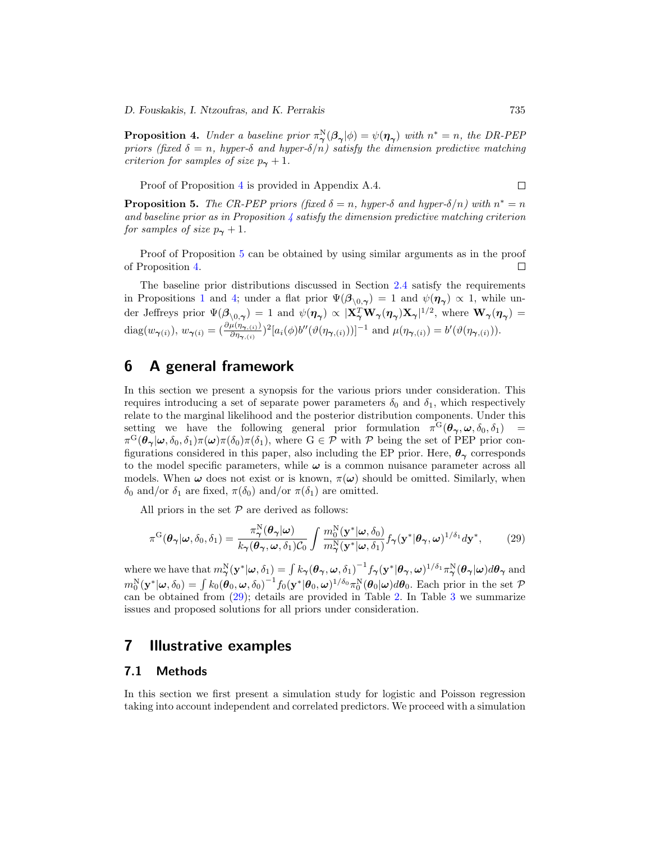*D. Fouskakis, I. Ntzoufras, and K. Perrakis* 735

<span id="page-15-2"></span>**Proposition 4.** Under a baseline prior  $\pi_{\gamma}^{\mathbb{N}}(\beta_{\gamma}|\phi) = \psi(\eta_{\gamma})$  with  $n^* = n$ , the DR-PEP priors (fixed  $\delta = n$ , hyper- $\delta$  and hyper- $\delta/n$ ) satisfy the dimension predictive matching criterion for samples of size  $p_{\gamma} + 1$ .

Proof of Proposition [4](#page-15-2) is provided in Appendix A.4.

<span id="page-15-3"></span>**Proposition 5.** The CR-PEP priors (fixed  $\delta = n$ , hyper- $\delta$  and hyper- $\delta/n$ ) with  $n^* = n$ and baseline prior as in Proposition  $\mu$  satisfy the dimension predictive matching criterion for samples of size  $p_{\gamma} + 1$ .

Proof of Proposition [5](#page-15-3) can be obtained by using similar arguments as in the proof of Proposition [4.](#page-15-2)  $\Box$ 

The baseline prior distributions discussed in Section [2.4](#page-10-1) satisfy the requirements in Propositions [1](#page-14-1) and [4;](#page-15-2) under a flat prior  $\Psi(\beta_{\setminus 0,\gamma}) = 1$  and  $\psi(\eta_{\gamma}) \propto 1$ , while under Jeffreys prior  $\Psi(\mathcal{B}_{\setminus 0,\gamma}) = 1$  and  $\psi(\eta_\gamma) \propto |\mathbf{X}_{\gamma}^T \mathbf{W}_{\gamma}(\eta_\gamma) \mathbf{X}_{\gamma}|^{1/2}$ , where  $\mathbf{W}_{\gamma}(\eta_\gamma) =$  $diag(w_{\boldsymbol{\gamma}(i)}), w_{\boldsymbol{\gamma}(i)} = \left(\frac{\partial \mu(\eta_{\boldsymbol{\gamma},(i)})}{\partial \eta_{\boldsymbol{\gamma},(i)}}\right)^2 [a_i(\phi) b''(\vartheta(\eta_{\boldsymbol{\gamma},(i)}))]^{-1}$  and  $\mu(\eta_{\boldsymbol{\gamma},(i)}) = b'(\vartheta(\eta_{\boldsymbol{\gamma},(i)})).$ 

# <span id="page-15-0"></span>**6 A general framework**

In this section we present a synopsis for the various priors under consideration. This requires introducing a set of separate power parameters  $\delta_0$  and  $\delta_1$ , which respectively relate to the marginal likelihood and the posterior distribution components. Under this setting we have the following general prior formulation  $\pi^{G}(\theta_{\gamma}, \omega, \delta_{0}, \delta_{1})$  $\pi^G(\theta_\gamma|\omega,\delta_0,\delta_1)\pi(\omega)\pi(\delta_0)\pi(\delta_1)$ , where  $G \in \mathcal{P}$  with  $\mathcal P$  being the set of PEP prior configurations considered in this paper, also including the EP prior. Here,  $\theta_{\gamma}$  corresponds to the model specific parameters, while *ω* is a common nuisance parameter across all models. When  $\omega$  does not exist or is known,  $\pi(\omega)$  should be omitted. Similarly, when  $\delta_0$  and/or  $\delta_1$  are fixed,  $\pi(\delta_0)$  and/or  $\pi(\delta_1)$  are omitted.

All priors in the set  $P$  are derived as follows:

<span id="page-15-4"></span>
$$
\pi^{\mathcal{G}}(\boldsymbol{\theta}_{\boldsymbol{\gamma}}|\boldsymbol{\omega},\delta_0,\delta_1) = \frac{\pi^{\mathcal{N}}_{\boldsymbol{\gamma}}(\boldsymbol{\theta}_{\boldsymbol{\gamma}}|\boldsymbol{\omega})}{k_{\boldsymbol{\gamma}}(\boldsymbol{\theta}_{\boldsymbol{\gamma}},\boldsymbol{\omega},\delta_1)\mathcal{C}_0} \int \frac{m_0^{\mathcal{N}}(\mathbf{y}^*|\boldsymbol{\omega},\delta_0)}{m_{\boldsymbol{\gamma}}^{\mathcal{N}}(\mathbf{y}^*|\boldsymbol{\omega},\delta_1)} f_{\boldsymbol{\gamma}}(\mathbf{y}^*|\boldsymbol{\theta}_{\boldsymbol{\gamma}},\boldsymbol{\omega})^{1/\delta_1} d\mathbf{y}^*,\tag{29}
$$

 $\mathbf{w} = \mathbf{w} \mathbf{w} \mathbf{w} \mathbf{w} \mathbf{w} \mathbf{w} \mathbf{w} \mathbf{w} \mathbf{w} \mathbf{w} \mathbf{w} \mathbf{w} \mathbf{w} \mathbf{w} \mathbf{w} \mathbf{w} \mathbf{w} \mathbf{w} \mathbf{w} \mathbf{w} \mathbf{w} \mathbf{w} \mathbf{w} \mathbf{w} \mathbf{w} \mathbf{w} \mathbf{w} \mathbf{w} \mathbf{w} \mathbf{w} \mathbf{w} \mathbf{w} \mathbf{w} \mathbf{w} \mathbf{w} \mathbf$  $m_0^N(\mathbf{y}^*|\boldsymbol{\omega}, \delta_0) = \int k_0(\boldsymbol{\theta}_0, \boldsymbol{\omega}, \delta_0)^{-1} f_0(\mathbf{y}^*|\boldsymbol{\theta}_0, \boldsymbol{\omega})^{1/\delta_0} \pi_0^N(\boldsymbol{\theta}_0|\boldsymbol{\omega}) d\boldsymbol{\theta}_0$ . Each prior in the set  $\mathcal P$ can be obtained from [\(29\)](#page-15-4); details are provided in Table [2.](#page-16-0) In Table [3](#page-16-1) we summarize issues and proposed solutions for all priors under consideration.

### <span id="page-15-1"></span>**7 Illustrative examples**

#### **7.1 Methods**

In this section we first present a simulation study for logistic and Poisson regression taking into account independent and correlated predictors. We proceed with a simulation

 $\Box$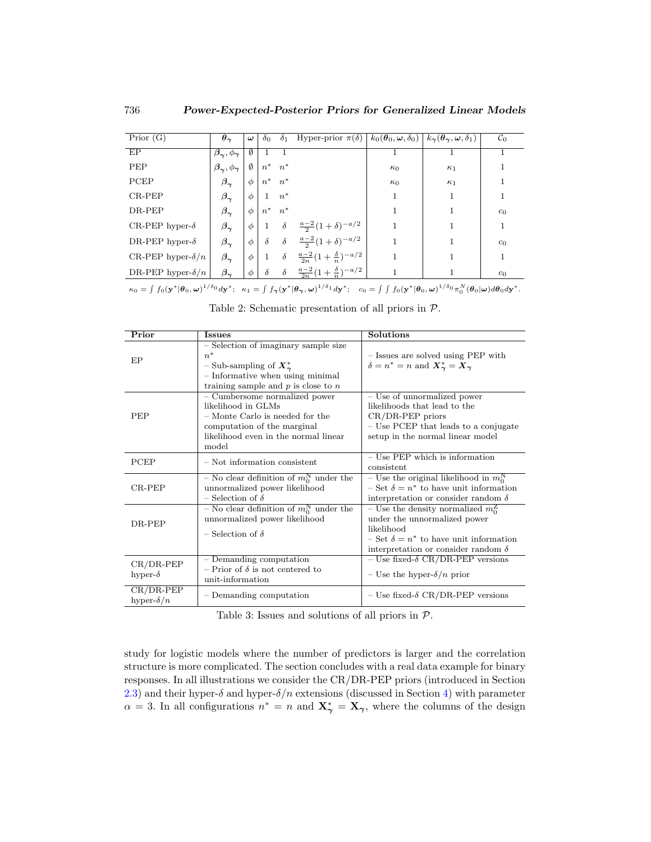| $\overline{\mathrm{Prior}}$ (G) | $\theta_{\gamma}$               | $\omega$ | $\delta_0$   |          | $\delta_1$ Hyper-prior $\pi(\delta)$        | $k_0(\theta_0, \omega, \delta_0) \mid k_{\gamma}(\theta_{\gamma}, \omega, \delta_1)$ |            | $\mathcal{C}_0$ |
|---------------------------------|---------------------------------|----------|--------------|----------|---------------------------------------------|--------------------------------------------------------------------------------------|------------|-----------------|
| EP                              | $\beta_{\gamma}, \phi_{\gamma}$ | Ø        |              |          |                                             |                                                                                      |            |                 |
| PEP                             | $\beta_{\gamma}, \phi_{\gamma}$ | Ø        | $n^*$        | $n^*$    |                                             | $\kappa_0$                                                                           | $\kappa_1$ |                 |
| PCEP                            | $\beta_{\gamma}$                | Φ        | $n^*$        | $n^*$    |                                             | $\kappa_0$                                                                           | $\kappa_1$ |                 |
| $CR-PEP$                        | $\beta_{\gamma}$                | Φ        |              | $n^*$    |                                             | 1                                                                                    |            |                 |
| DR-PEP                          | $\beta_{\gamma}$                | Φ        | $n^*$        | $n^*$    |                                             | 1                                                                                    |            | c <sub>0</sub>  |
| CR-PEP hyper- $\delta$          | $\beta_{\sim}$                  | $\phi$   | $\mathbf{1}$ | $\delta$ | $\frac{a-2}{2}(1+\delta)^{-a/2}$            |                                                                                      |            |                 |
| DR-PEP hyper- $\delta$          | $\beta_{\boldsymbol{\gamma}}$   | Φ        | $\delta$     | $\delta$ | $\frac{a-2}{2}(1+\delta)^{-a/2}$            |                                                                                      |            | c <sub>0</sub>  |
| CR-PEP hyper- $\delta/n$        | $\beta_{\sim}$                  | Φ        |              | $\delta$ | $\frac{a-2}{2n}(1+\frac{\delta}{n})^{-a/2}$ |                                                                                      |            |                 |
| DR-PEP hyper- $\delta/n$        | $\beta_{\sim}$                  | Φ        | $\delta$     | $\delta$ | $\frac{a-2}{2n}(1+\frac{\delta}{n})^{-a/2}$ |                                                                                      |            | c <sub>0</sub>  |

 $\kappa_0 = \int f_0(\mathbf{y}^*|\boldsymbol{\theta}_0, \boldsymbol{\omega})^{1/\delta_0} d\mathbf{y}^*; \quad \kappa_1 = \int f_{\gamma}(\mathbf{y}^*|\boldsymbol{\theta}_{\gamma}, \boldsymbol{\omega})^{1/\delta_1} d\mathbf{y}^*; \quad c_0 = \int \int f_0(\mathbf{y}^*|\boldsymbol{\theta}_0, \boldsymbol{\omega})^{1/\delta_0} \pi_0^N(\boldsymbol{\theta}_0|\boldsymbol{\omega}) d\boldsymbol{\theta}_0 d\mathbf{y}^*.$ 

| Prior                            | <b>Issues</b>                                                                                                                                                          | Solutions                                                                                                                                                                                  |
|----------------------------------|------------------------------------------------------------------------------------------------------------------------------------------------------------------------|--------------------------------------------------------------------------------------------------------------------------------------------------------------------------------------------|
| EP                               | - Selection of imaginary sample size<br>$n^*$<br>- Sub-sampling of $X^*_{\gamma}$<br>- Informative when using minimal<br>training sample and $p$ is close to $n$       | - Issues are solved using PEP with<br>$\delta = n^* = n$ and $X^*_{\gamma} = X_{\gamma}$                                                                                                   |
| <b>PEP</b>                       | - Cumbersome normalized power<br>likelihood in GLMs<br>- Monte Carlo is needed for the<br>computation of the marginal<br>likelihood even in the normal linear<br>model | – Use of unnormalized power<br>likelihoods that lead to the<br>$CR/DR-PEP$ priors<br>- Use PCEP that leads to a conjugate<br>setup in the normal linear model                              |
| PCEP                             | $-$ Not information consistent                                                                                                                                         | $-$ Use PEP which is information<br>consistent                                                                                                                                             |
| $CR-PEP$                         | - No clear definition of $m_0^N$ under the<br>unnormalized power likelihood<br>$-$ Selection of $\delta$                                                               | – Use the original likelihood in $m_0^N$<br>$\delta =$ Set $\delta = n^*$ to have unit information<br>interpretation or consider random $\delta$                                           |
| DR-PEP                           | - No clear definition of $m_0^N$ under the<br>unnormalized power likelihood<br>$\overline{\phantom{a}}$ - Selection of $\delta$                                        | – Use the density normalized $m_0^2$<br>under the unnormalized power<br>likelihood<br>$\delta =$ Set $\delta = n^*$ to have unit information<br>interpretation or consider random $\delta$ |
| $CR/DR-PEP$<br>hyper- $\delta$   | $-$ Demanding computation<br>- Prior of $\delta$ is not centered to<br>unit-information                                                                                | – Use fixed- $\delta$ CR/DR-PEP versions<br>– Use the hyper- $\delta/n$ prior                                                                                                              |
| $CR/DR-PEP$<br>hyper- $\delta/n$ | - Demanding computation                                                                                                                                                | - Use fixed- $\delta$ CR/DR-PEP versions                                                                                                                                                   |

<span id="page-16-0"></span>

<span id="page-16-1"></span>Table 3: Issues and solutions of all priors in P.

study for logistic models where the number of predictors is larger and the correlation structure is more complicated. The section concludes with a real data example for binary responses. In all illustrations we consider the CR/DR-PEP priors (introduced in Section [2.3\)](#page-7-0) and their hyper- $\delta$  and hyper- $\delta/n$  extensions (discussed in Section [4\)](#page-13-0) with parameter  $\alpha = 3$ . In all configurations  $n^* = n$  and  $\mathbf{X}^*_{\boldsymbol{\gamma}} = \mathbf{X}_{\boldsymbol{\gamma}}$ , where the columns of the design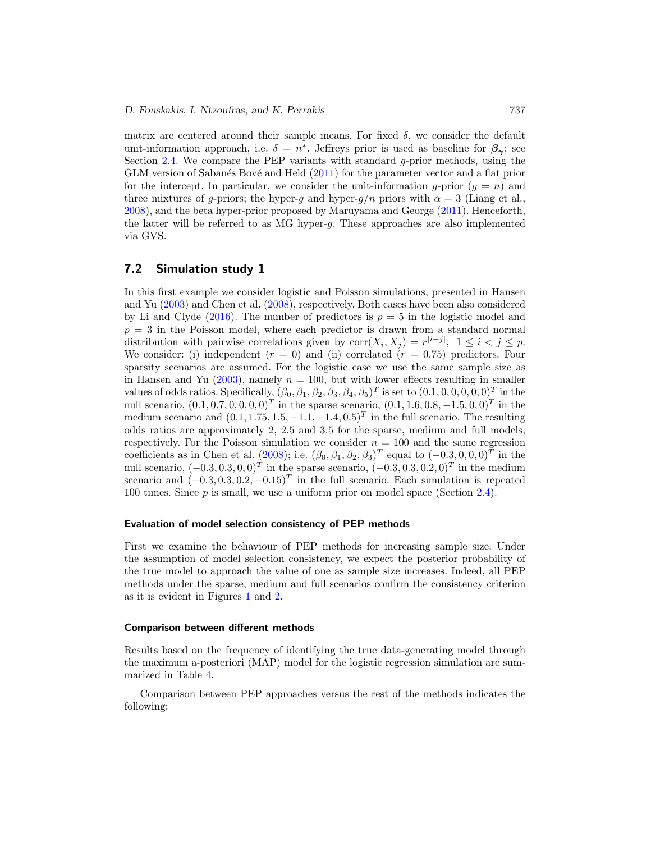<span id="page-17-1"></span>matrix are centered around their sample means. For fixed  $\delta$ , we consider the default unit-information approach, i.e.  $\delta = n^*$ . Jeffreys prior is used as baseline for  $\beta_{\infty}$ ; see Section [2.4.](#page-10-1) We compare the PEP variants with standard g-prior methods, using the GLM version of Sabanés Bové and Held [\(2011\)](#page-27-3) for the parameter vector and a flat prior for the intercept. In particular, we consider the unit-information g-prior  $(q = n)$  and three mixtures of g-priors; the hyper-g and hyper-g/n priors with  $\alpha = 3$  (Liang et al., [2008\)](#page-26-2), and the beta hyper-prior proposed by Maruyama and George [\(2011\)](#page-27-11). Henceforth, the latter will be referred to as MG hyper-g. These approaches are also implemented via GVS.

### <span id="page-17-0"></span>**7.2 Simulation study 1**

In this first example we consider logistic and Poisson simulations, presented in Hansen and Yu [\(2003\)](#page-26-3) and Chen et al. [\(2008\)](#page-25-6), respectively. Both cases have been also considered by Li and Clyde [\(2016\)](#page-26-4). The number of predictors is  $p = 5$  in the logistic model and  $p = 3$  in the Poisson model, where each predictor is drawn from a standard normal distribution with pairwise correlations given by  $\text{corr}(X_i, X_j) = r^{|i-j|}, 1 \leq i < j \leq p$ . We consider: (i) independent  $(r = 0)$  and (ii) correlated  $(r = 0.75)$  predictors. Four sparsity scenarios are assumed. For the logistic case we use the same sample size as in Hansen and Yu [\(2003\)](#page-26-3), namely  $n = 100$ , but with lower effects resulting in smaller values of odds ratios. Specifically,  $(\beta_0, \beta_1, \beta_2, \beta_3, \beta_4, \beta_5)^T$  is set to  $(0.1, 0, 0, 0, 0, 0)^T$  in the null scenario,  $(0.1, 0.7, 0, 0, 0, 0)^T$  in the sparse scenario,  $(0.1, 1.6, 0.8, -1.5, 0, 0)^T$  in the medium scenario and  $(0.1, 1.75, 1.5, -1.1, -1.4, 0.5)^T$  in the full scenario. The resulting odds ratios are approximately 2, 2.5 and 3.5 for the sparse, medium and full models, respectively. For the Poisson simulation we consider  $n = 100$  and the same regression coefficients as in Chen et al. [\(2008\)](#page-25-6); i.e.  $(\beta_0, \beta_1, \beta_2, \beta_3)^T$  equal to  $(-0.3, 0, 0, 0)^T$  in the null scenario,  $(-0.3, 0.3, 0, 0)^T$  in the sparse scenario,  $(-0.3, 0.3, 0.2, 0)^T$  in the medium scenario and  $(-0.3, 0.3, 0.2, -0.15)^T$  in the full scenario. Each simulation is repeated 100 times. Since  $p$  is small, we use a uniform prior on model space (Section [2.4\)](#page-10-1).

#### **Evaluation of model selection consistency of PEP methods**

First we examine the behaviour of PEP methods for increasing sample size. Under the assumption of model selection consistency, we expect the posterior probability of the true model to approach the value of one as sample size increases. Indeed, all PEP methods under the sparse, medium and full scenarios confirm the consistency criterion as it is evident in Figures [1](#page-18-0) and [2.](#page-19-0)

#### **Comparison between different methods**

Results based on the frequency of identifying the true data-generating model through the maximum a-posteriori (MAP) model for the logistic regression simulation are summarized in Table [4.](#page-18-1)

Comparison between PEP approaches versus the rest of the methods indicates the following: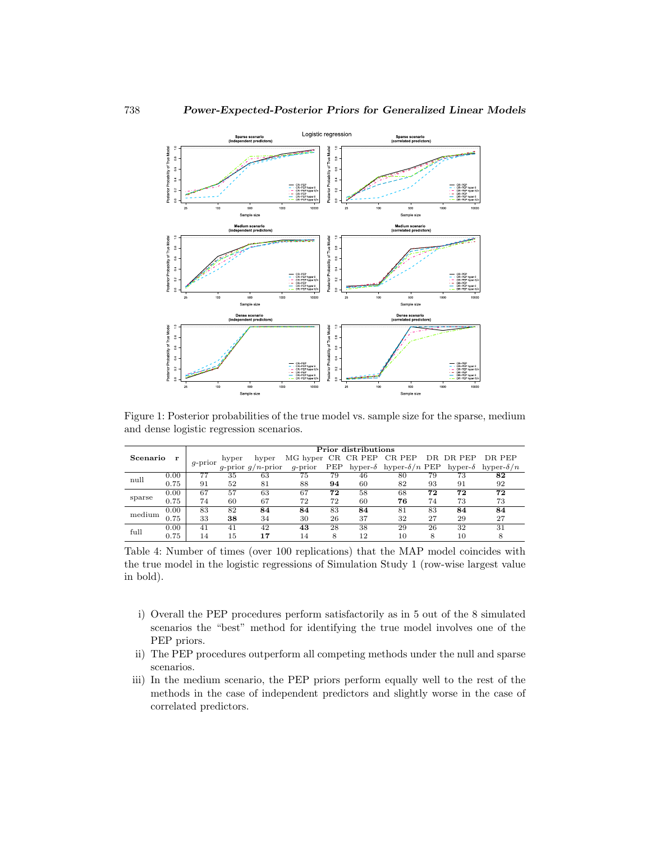

<span id="page-18-0"></span>Figure 1: Posterior probabilities of the true model vs. sample size for the sparse, medium and dense logistic regression scenarios.

|          |      | Prior distributions |       |                      |                    |     |                 |                       |    |                 |                   |  |  |
|----------|------|---------------------|-------|----------------------|--------------------|-----|-----------------|-----------------------|----|-----------------|-------------------|--|--|
| Scenario |      |                     | hyper | hyper                | MG hyper CR CR PEP |     |                 | CR PEP                |    | DR DR PEP       | DR PEP            |  |  |
|          |      | $q$ -prior          |       | q-prior $q/n$ -prior | $q$ -prior         | PEP | hyper- $\delta$ | hyper- $\delta/n$ PEP |    | hyper- $\delta$ | hyper- $\delta/n$ |  |  |
| null     | 0.00 |                     | 35    | 63                   | 75                 | 79  | 46              | 80                    | 79 | 73              | 82                |  |  |
|          | 0.75 | 91                  | 52    | 81                   | 88                 | 94  | 60              | 82                    | 93 | 91              | 92                |  |  |
|          | 0.00 | 67                  | 57    | 63                   | 67                 | 72  | 58              | 68                    | 72 | 72              | 72                |  |  |
| sparse   | 0.75 | 74                  | 60    | 67                   | 72                 | 72  | 60              | 76                    | 74 | 73              | 73                |  |  |
| medium   | 0.00 | 83                  | 82    | 84                   | 84                 | 83  | 84              | 81                    | 83 | 84              | 84                |  |  |
|          | 0.75 | 33                  | 38    | 34                   | 30                 | 26  | 37              | 32                    | 27 | 29              | 27                |  |  |
| full     | 0.00 | 41                  | 41    | 42                   | 43                 | 28  | 38              | 29                    | 26 | 32              | 31                |  |  |
|          | 0.75 | 14                  | 15    | 17                   | 14                 | 8   | 12              | 10                    | 8  | 10              | 8                 |  |  |

<span id="page-18-1"></span>Table 4: Number of times (over 100 replications) that the MAP model coincides with the true model in the logistic regressions of Simulation Study 1 (row-wise largest value in bold).

- i) Overall the PEP procedures perform satisfactorily as in 5 out of the 8 simulated scenarios the "best" method for identifying the true model involves one of the PEP priors.
- ii) The PEP procedures outperform all competing methods under the null and sparse scenarios.
- iii) In the medium scenario, the PEP priors perform equally well to the rest of the methods in the case of independent predictors and slightly worse in the case of correlated predictors.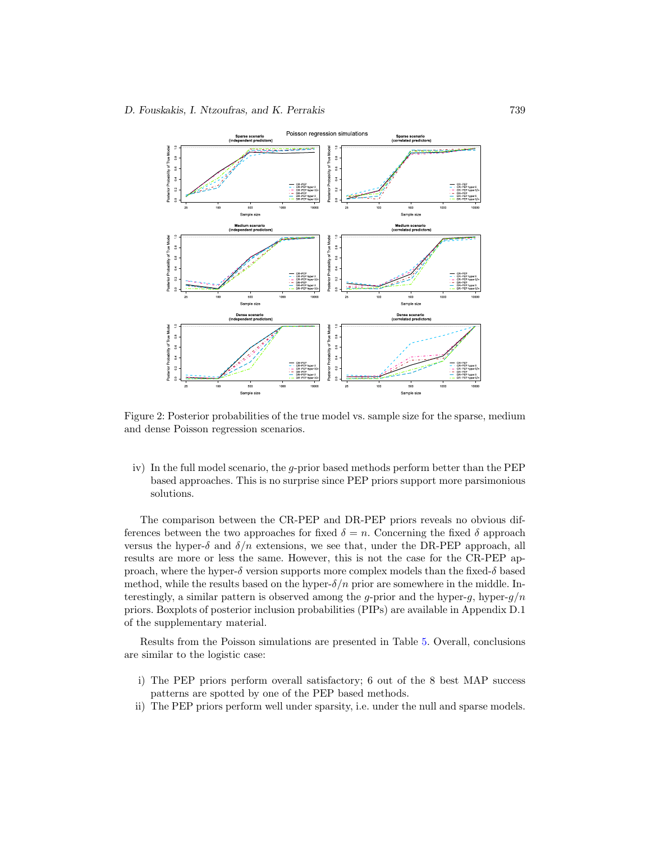

<span id="page-19-0"></span>Figure 2: Posterior probabilities of the true model vs. sample size for the sparse, medium and dense Poisson regression scenarios.

iv) In the full model scenario, the g-prior based methods perform better than the PEP based approaches. This is no surprise since PEP priors support more parsimonious solutions.

The comparison between the CR-PEP and DR-PEP priors reveals no obvious differences between the two approaches for fixed  $\delta = n$ . Concerning the fixed  $\delta$  approach versus the hyper- $\delta$  and  $\delta/n$  extensions, we see that, under the DR-PEP approach, all results are more or less the same. However, this is not the case for the CR-PEP approach, where the hyper- $\delta$  version supports more complex models than the fixed- $\delta$  based method, while the results based on the hyper- $\delta/n$  prior are somewhere in the middle. Interestingly, a similar pattern is observed among the g-prior and the hyper-g, hyper-g/n priors. Boxplots of posterior inclusion probabilities (PIPs) are available in Appendix D.1 of the supplementary material.

Results from the Poisson simulations are presented in Table [5.](#page-20-0) Overall, conclusions are similar to the logistic case:

- i) The PEP priors perform overall satisfactory; 6 out of the 8 best MAP success patterns are spotted by one of the PEP based methods.
- ii) The PEP priors perform well under sparsity, i.e. under the null and sparse models.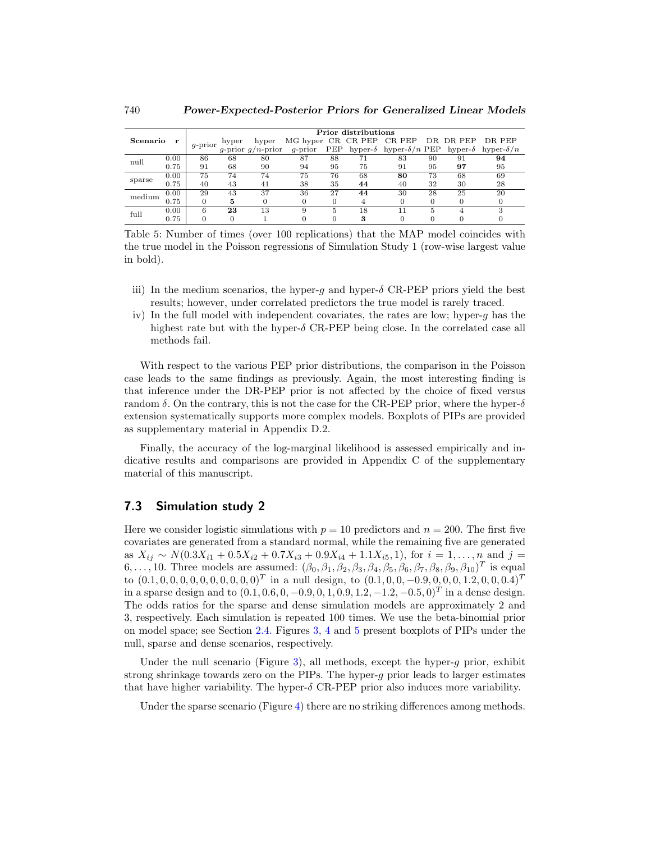|          |      | Prior distributions |       |                      |         |     |    |                                            |    |    |                                   |  |
|----------|------|---------------------|-------|----------------------|---------|-----|----|--------------------------------------------|----|----|-----------------------------------|--|
| Scenario |      | $q$ -prior          | hyper | hyper                |         |     |    | MG hyper CR CR PEP CR PEP DR DR PEP DR PEP |    |    |                                   |  |
|          |      |                     |       | q-prior $q/n$ -prior | q-prior | PEP |    | hyper- $\delta$ hyper- $\delta/n$ PEP      |    |    | hyper- $\delta$ hyper- $\delta/n$ |  |
| null     | 0.00 | 86                  | 68    | 80                   | 87      | 88  |    | 83                                         | 90 | 91 | 94                                |  |
|          | 0.75 | 91                  | 68    | 90                   | 94      | 95  | 75 | 91                                         | 95 | 97 | 95                                |  |
| sparse   | 0.00 | 75                  | 74    | 74                   | 75      | 76  | 68 | 80                                         | 73 | 68 | 69                                |  |
|          | 0.75 | 40                  | 43    | 41                   | 38      | 35  | 44 | 40                                         | 32 | 30 | 28                                |  |
| medium   | 0.00 | 29                  | 43    | 37                   | 36      | 27  | 44 | 30                                         | 28 | 25 | 20                                |  |
|          | 0.75 | 0                   | 5     |                      |         |     |    |                                            |    |    |                                   |  |
| full     | 0.00 | 6                   | 23    | 13                   |         |     | 18 |                                            |    |    |                                   |  |
|          | 0.75 |                     |       |                      |         |     |    |                                            |    |    |                                   |  |

<span id="page-20-0"></span>Table 5: Number of times (over 100 replications) that the MAP model coincides with the true model in the Poisson regressions of Simulation Study 1 (row-wise largest value in bold).

- iii) In the medium scenarios, the hyper-g and hyper- $\delta$  CR-PEP priors yield the best results; however, under correlated predictors the true model is rarely traced.
- iv) In the full model with independent covariates, the rates are low; hyper-g has the highest rate but with the hyper- $\delta$  CR-PEP being close. In the correlated case all methods fail.

With respect to the various PEP prior distributions, the comparison in the Poisson case leads to the same findings as previously. Again, the most interesting finding is that inference under the DR-PEP prior is not affected by the choice of fixed versus random  $\delta$ . On the contrary, this is not the case for the CR-PEP prior, where the hyper- $\delta$ extension systematically supports more complex models. Boxplots of PIPs are provided as supplementary material in Appendix D.2.

Finally, the accuracy of the log-marginal likelihood is assessed empirically and indicative results and comparisons are provided in Appendix C of the supplementary material of this manuscript.

### **7.3 Simulation study 2**

Here we consider logistic simulations with  $p = 10$  predictors and  $n = 200$ . The first five covariates are generated from a standard normal, while the remaining five are generated as  $X_{ij} \sim N(0.3X_{i1} + 0.5X_{i2} + 0.7X_{i3} + 0.9X_{i4} + 1.1X_{i5}, 1)$ , for  $i = 1, ..., n$  and  $j =$ 6,..., 10. Three models are assumed:  $(\beta_0, \beta_1, \beta_2, \beta_3, \beta_4, \beta_5, \beta_6, \beta_7, \beta_8, \beta_9, \beta_{10})^T$  is equal to  $(0.1, 0, 0, 0, 0, 0, 0, 0, 0, 0, 0)^T$  in a null design, to  $(0.1, 0, 0, -0.9, 0, 0, 0, 1.2, 0, 0, 0.4)^T$ in a sparse design and to  $(0.1, 0.6, 0, -0.9, 0, 1, 0.9, 1.2, -1.2, -0.5, 0)^T$  in a dense design. The odds ratios for the sparse and dense simulation models are approximately 2 and 3, respectively. Each simulation is repeated 100 times. We use the beta-binomial prior on model space; see Section [2.4.](#page-10-1) Figures [3,](#page-21-0) [4](#page-21-1) and [5](#page-22-0) present boxplots of PIPs under the null, sparse and dense scenarios, respectively.

Under the null scenario (Figure [3\)](#page-21-0), all methods, except the hyper-q prior, exhibit strong shrinkage towards zero on the PIPs. The hyper-g prior leads to larger estimates that have higher variability. The hyper- $\delta$  CR-PEP prior also induces more variability.

Under the sparse scenario (Figure [4\)](#page-21-1) there are no striking differences among methods.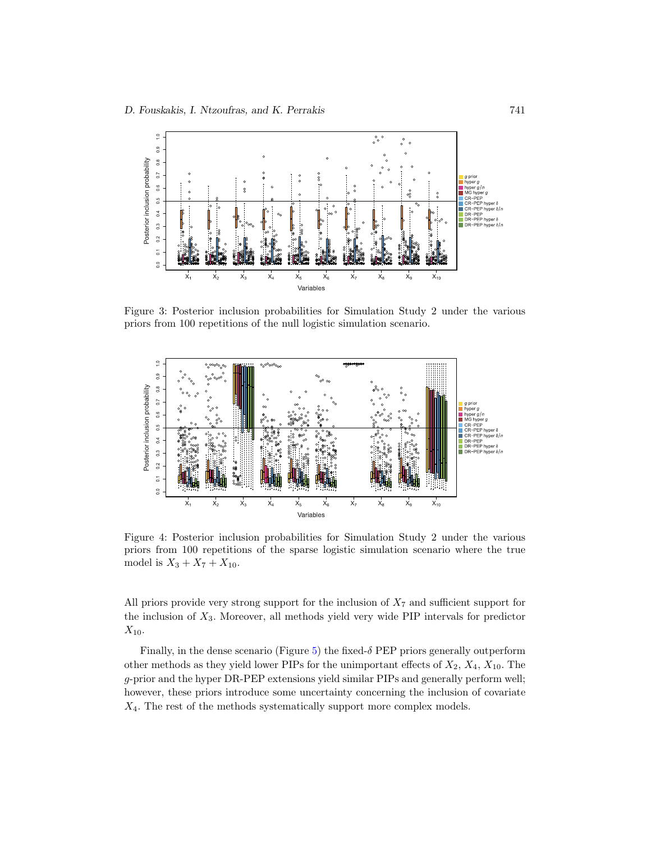

<span id="page-21-0"></span>Figure 3: Posterior inclusion probabilities for Simulation Study 2 under the various priors from 100 repetitions of the null logistic simulation scenario.



<span id="page-21-1"></span>Figure 4: Posterior inclusion probabilities for Simulation Study 2 under the various priors from 100 repetitions of the sparse logistic simulation scenario where the true model is  $X_3 + X_7 + X_{10}$ .

All priors provide very strong support for the inclusion of  $X_7$  and sufficient support for the inclusion of  $X_3$ . Moreover, all methods yield very wide PIP intervals for predictor  $X_{10}$ .

Finally, in the dense scenario (Figure [5\)](#page-22-0) the fixed- $\delta$  PEP priors generally outperform other methods as they yield lower PIPs for the unimportant effects of  $X_2$ ,  $X_4$ ,  $X_{10}$ . The g-prior and the hyper DR-PEP extensions yield similar PIPs and generally perform well; however, these priors introduce some uncertainty concerning the inclusion of covariate  $X_4$ . The rest of the methods systematically support more complex models.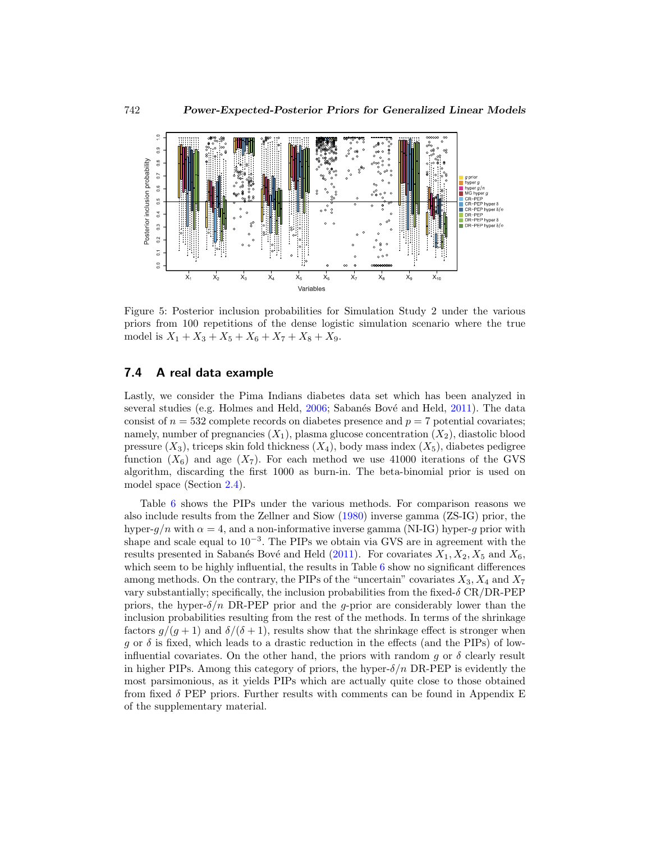<span id="page-22-1"></span>

<span id="page-22-0"></span>Figure 5: Posterior inclusion probabilities for Simulation Study 2 under the various priors from 100 repetitions of the dense logistic simulation scenario where the true model is  $X_1 + X_3 + X_5 + X_6 + X_7 + X_8 + X_9.$ 

### **7.4 A real data example**

Lastly, we consider the Pima Indians diabetes data set which has been analyzed in several studies (e.g. Holmes and Held, [2006;](#page-26-11) Sabanés Bové and Held, [2011\)](#page-27-3). The data consist of  $n = 532$  complete records on diabetes presence and  $p = 7$  potential covariates; namely, number of pregnancies  $(X_1)$ , plasma glucose concentration  $(X_2)$ , diastolic blood pressure  $(X_3)$ , triceps skin fold thickness  $(X_4)$ , body mass index  $(X_5)$ , diabetes pedigree function  $(X_6)$  and age  $(X_7)$ . For each method we use 41000 iterations of the GVS algorithm, discarding the first 1000 as burn-in. The beta-binomial prior is used on model space (Section [2.4\)](#page-10-1).

Table [6](#page-23-0) shows the PIPs under the various methods. For comparison reasons we also include results from the Zellner and Siow [\(1980\)](#page-28-0) inverse gamma (ZS-IG) prior, the hyper- $q/n$  with  $\alpha = 4$ , and a non-informative inverse gamma (NI-IG) hyper-q prior with shape and scale equal to  $10^{-3}$ . The PIPs we obtain via GVS are in agreement with the results presented in Sabanés Bové and Held [\(2011](#page-27-3)). For covariates  $X_1, X_2, X_5$  and  $X_6$ , which seem to be highly influential, the results in Table [6](#page-23-0) show no significant differences among methods. On the contrary, the PIPs of the "uncertain" covariates  $X_3, X_4$  and  $X_7$ vary substantially; specifically, the inclusion probabilities from the fixed- $\delta$  CR/DR-PEP priors, the hyper- $\delta/n$  DR-PEP prior and the g-prior are considerably lower than the inclusion probabilities resulting from the rest of the methods. In terms of the shrinkage factors  $g/(g+1)$  and  $\delta/(\delta+1)$ , results show that the shrinkage effect is stronger when g or  $\delta$  is fixed, which leads to a drastic reduction in the effects (and the PIPs) of lowinfluential covariates. On the other hand, the priors with random q or  $\delta$  clearly result in higher PIPs. Among this category of priors, the hyper- $\delta/n$  DR-PEP is evidently the most parsimonious, as it yields PIPs which are actually quite close to those obtained from fixed  $\delta$  PEP priors. Further results with comments can be found in Appendix E of the supplementary material.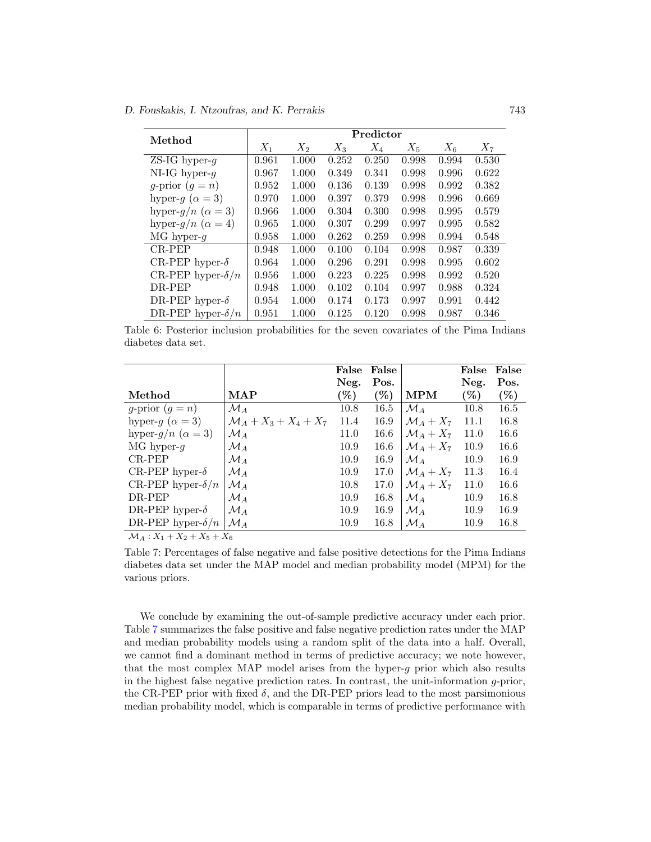#### *D. Fouskakis, I. Ntzoufras, and K. Perrakis* 743

| Method                      | Predictor |       |       |       |       |       |       |  |  |  |
|-----------------------------|-----------|-------|-------|-------|-------|-------|-------|--|--|--|
|                             | $X_1$     | $X_2$ | $X_3$ | $X_4$ | $X_5$ | $X_6$ | $X_7$ |  |  |  |
| ZS-IG hyper- $q$            | 0.961     | 1.000 | 0.252 | 0.250 | 0.998 | 0.994 | 0.530 |  |  |  |
| NI-IG hyper- $q$            | 0.967     | 1.000 | 0.349 | 0.341 | 0.998 | 0.996 | 0.622 |  |  |  |
| g-prior $(q = n)$           | 0.952     | 1.000 | 0.136 | 0.139 | 0.998 | 0.992 | 0.382 |  |  |  |
| hyper-g ( $\alpha = 3$ )    | 0.970     | 1.000 | 0.397 | 0.379 | 0.998 | 0.996 | 0.669 |  |  |  |
| hyper- $q/n \ (\alpha = 3)$ | 0.966     | 1.000 | 0.304 | 0.300 | 0.998 | 0.995 | 0.579 |  |  |  |
| hyper- $q/n$ $(\alpha = 4)$ | 0.965     | 1.000 | 0.307 | 0.299 | 0.997 | 0.995 | 0.582 |  |  |  |
| $MG$ hyper-q                | 0.958     | 1.000 | 0.262 | 0.259 | 0.998 | 0.994 | 0.548 |  |  |  |
| $CR-PEP$                    | 0.948     | 1.000 | 0.100 | 0.104 | 0.998 | 0.987 | 0.339 |  |  |  |
| CR-PEP hyper- $\delta$      | 0.964     | 1.000 | 0.296 | 0.291 | 0.998 | 0.995 | 0.602 |  |  |  |
| CR-PEP hyper- $\delta/n$    | 0.956     | 1.000 | 0.223 | 0.225 | 0.998 | 0.992 | 0.520 |  |  |  |
| DR-PEP                      | 0.948     | 1.000 | 0.102 | 0.104 | 0.997 | 0.988 | 0.324 |  |  |  |
| DR-PEP hyper- $\delta$      | 0.954     | 1.000 | 0.174 | 0.173 | 0.997 | 0.991 | 0.442 |  |  |  |
| DR-PEP hyper- $\delta/n$    | 0.951     | 1.000 | 0.125 | 0.120 | 0.998 | 0.987 | 0.346 |  |  |  |

<span id="page-23-0"></span>Table 6: Posterior inclusion probabilities for the seven covariates of the Pima Indians diabetes data set.

|                                        |                                   | False  | False  |                     | False  | False  |
|----------------------------------------|-----------------------------------|--------|--------|---------------------|--------|--------|
|                                        |                                   | Neg.   | Pos.   |                     | Neg.   | Pos.   |
| Method                                 | <b>MAP</b>                        | $(\%)$ | $(\%)$ | $\mathbf{MPM}$      | $(\%)$ | $(\%)$ |
| g-prior $(g = n)$                      | $\mathcal{M}_{A}$                 | 10.8   | 16.5   | ${\cal M}_A$        | 10.8   | 16.5   |
| hyper-g ( $\alpha = 3$ )               | $\mathcal{M}_A + X_3 + X_4 + X_7$ | 11.4   | 16.9   | $\mathcal{M}_A+X_7$ | 11.1   | 16.8   |
| hyper- $g/n \ (\alpha = 3)$            | $\mathcal{M}_A$                   | 11.0   | 16.6   | $\mathcal{M}_A+X_7$ | 11.0   | 16.6   |
| $MG$ hyper-g                           | ${\cal M}_A$                      | 10.9   | 16.6   | $\mathcal{M}_A+X_7$ | 10.9   | 16.6   |
| CR-PEP                                 | $\mathcal{M}_A$                   | 10.9   | 16.9   | $\mathcal{M}_{A}$   | 10.9   | 16.9   |
| CR-PEP hyper- $\delta$                 | ${\cal M}_A$                      | 10.9   | 17.0   | $\mathcal{M}_A+X_7$ | 11.3   | 16.4   |
| CR-PEP hyper- $\delta/n$               | $\mathcal{M}_A$                   | 10.8   | 17.0   | $\mathcal{M}_A+X_7$ | 11.0   | 16.6   |
| DR-PEP                                 | ${\cal M}_A$                      | 10.9   | 16.8   | $\mathcal{M}_{A}$   | 10.9   | 16.8   |
| DR-PEP hyper- $\delta$                 | ${\cal M}_A$                      | 10.9   | 16.9   | $\mathcal{M}_{A}$   | 10.9   | 16.9   |
| DR-PEP hyper- $\delta/n$               | $\mathcal{M}_{A}$                 | 10.9   | 16.8   | ${\cal M}_A$        | 10.9   | 16.8   |
| $\mathcal{M}_A: X_1 + X_2 + X_5 + X_6$ |                                   |        |        |                     |        |        |

<span id="page-23-1"></span>Table 7: Percentages of false negative and false positive detections for the Pima Indians diabetes data set under the MAP model and median probability model (MPM) for the various priors.

We conclude by examining the out-of-sample predictive accuracy under each prior. Table [7](#page-23-1) summarizes the false positive and false negative prediction rates under the MAP and median probability models using a random split of the data into a half. Overall, we cannot find a dominant method in terms of predictive accuracy; we note however, that the most complex MAP model arises from the hyper-g prior which also results in the highest false negative prediction rates. In contrast, the unit-information g-prior, the CR-PEP prior with fixed  $\delta$ , and the DR-PEP priors lead to the most parsimonious median probability model, which is comparable in terms of predictive performance with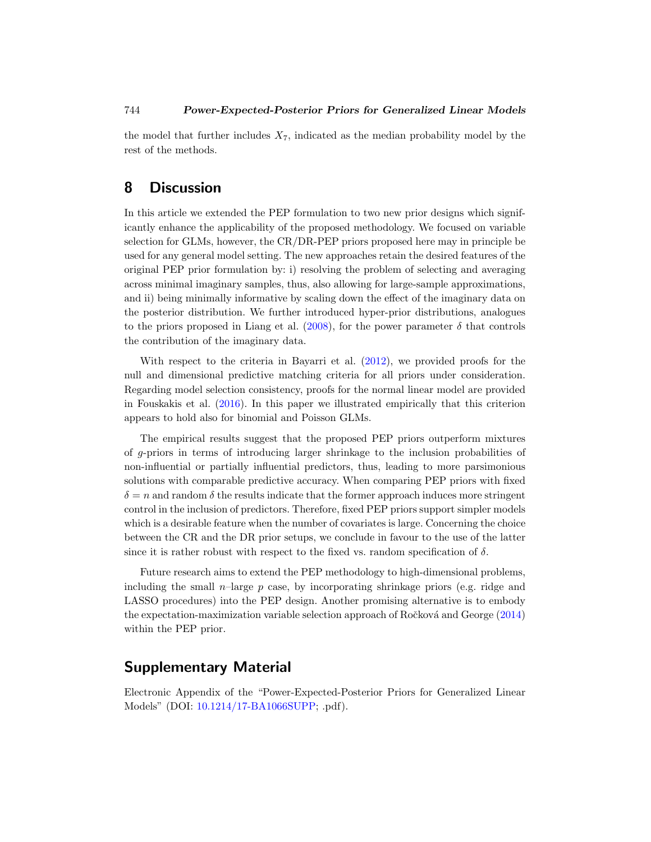<span id="page-24-1"></span>the model that further includes  $X_7$ , indicated as the median probability model by the rest of the methods.

# <span id="page-24-0"></span>**8 Discussion**

In this article we extended the PEP formulation to two new prior designs which significantly enhance the applicability of the proposed methodology. We focused on variable selection for GLMs, however, the CR/DR-PEP priors proposed here may in principle be used for any general model setting. The new approaches retain the desired features of the original PEP prior formulation by: i) resolving the problem of selecting and averaging across minimal imaginary samples, thus, also allowing for large-sample approximations, and ii) being minimally informative by scaling down the effect of the imaginary data on the posterior distribution. We further introduced hyper-prior distributions, analogues to the priors proposed in Liang et al. [\(2008\)](#page-26-2), for the power parameter  $\delta$  that controls the contribution of the imaginary data.

With respect to the criteria in Bayarri et al. [\(2012](#page-25-7)), we provided proofs for the null and dimensional predictive matching criteria for all priors under consideration. Regarding model selection consistency, proofs for the normal linear model are provided in Fouskakis et al. [\(2016](#page-26-9)). In this paper we illustrated empirically that this criterion appears to hold also for binomial and Poisson GLMs.

The empirical results suggest that the proposed PEP priors outperform mixtures of g-priors in terms of introducing larger shrinkage to the inclusion probabilities of non-influential or partially influential predictors, thus, leading to more parsimonious solutions with comparable predictive accuracy. When comparing PEP priors with fixed  $\delta = n$  and random  $\delta$  the results indicate that the former approach induces more stringent control in the inclusion of predictors. Therefore, fixed PEP priors support simpler models which is a desirable feature when the number of covariates is large. Concerning the choice between the CR and the DR prior setups, we conclude in favour to the use of the latter since it is rather robust with respect to the fixed vs. random specification of  $\delta$ .

Future research aims to extend the PEP methodology to high-dimensional problems, including the small  $n$ -large p case, by incorporating shrinkage priors (e.g. ridge and LASSO procedures) into the PEP design. Another promising alternative is to embody the expectation-maximization variable selection approach of Ročková and George  $(2014)$ within the PEP prior.

# **Supplementary Material**

Electronic Appendix of the "Power-Expected-Posterior Priors for Generalized Linear Models" (DOI: [10.1214/17-BA1066SUPP;](https://doi.org/10.1214/17-BA1066SUPP) .pdf).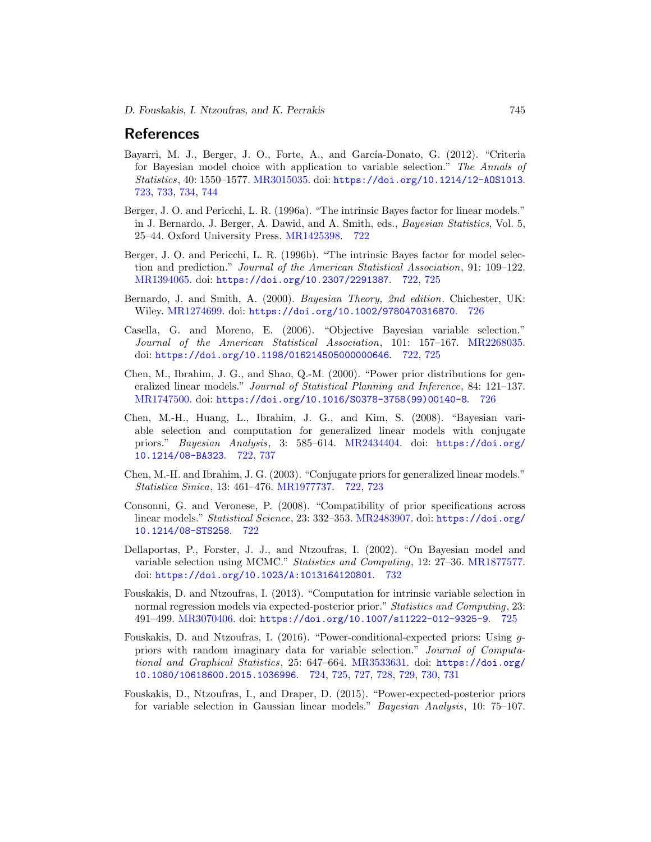# **References**

- <span id="page-25-7"></span>Bayarri, M. J., Berger, J. O., Forte, A., and García-Donato, G. (2012). "Criteria for Bayesian model choice with application to variable selection." The Annals of Statistics, 40: 1550–1577. [MR3015035.](http://www.ams.org/mathscinet-getitem?mr=3015035) doi: <https://doi.org/10.1214/12-AOS1013>. [723,](#page-3-1) [733,](#page-13-3) [734,](#page-14-4) [744](#page-24-1)
- <span id="page-25-0"></span>Berger, J. O. and Pericchi, L. R. (1996a). "The intrinsic Bayes factor for linear models." in J. Bernardo, J. Berger, A. Dawid, and A. Smith, eds., Bayesian Statistics, Vol. 5, 25–44. Oxford University Press. [MR1425398.](http://www.ams.org/mathscinet-getitem?mr=1425398) [722](#page-2-0)
- <span id="page-25-1"></span>Berger, J. O. and Pericchi, L. R. (1996b). "The intrinsic Bayes factor for model selection and prediction." Journal of the American Statistical Association, 91: 109–122. [MR1394065.](http://www.ams.org/mathscinet-getitem?mr=1394065) doi: <https://doi.org/10.2307/2291387>. [722,](#page-2-0) [725](#page-5-2)
- <span id="page-25-11"></span>Bernardo, J. and Smith, A. (2000). Bayesian Theory, 2nd edition. Chichester, UK: Wiley. [MR1274699.](http://www.ams.org/mathscinet-getitem?mr=1274699) doi: <https://doi.org/10.1002/9780470316870>. [726](#page-6-1)
- <span id="page-25-3"></span>Casella, G. and Moreno, E. (2006). "Objective Bayesian variable selection." Journal of the American Statistical Association, 101: 157–167. [MR2268035.](http://www.ams.org/mathscinet-getitem?mr=2268035) doi: <https://doi.org/10.1198/016214505000000646>. [722,](#page-2-0) [725](#page-5-2)
- <span id="page-25-10"></span>Chen, M., Ibrahim, J. G., and Shao, Q.-M. (2000). "Power prior distributions for generalized linear models." Journal of Statistical Planning and Inference, 84: 121–137. [MR1747500.](http://www.ams.org/mathscinet-getitem?mr=1747500) doi: [https://doi.org/10.1016/S0378-3758\(99\)00140-8](https://doi.org/10.1016/S0378-3758(99)00140-8). [726](#page-6-1)
- <span id="page-25-6"></span>Chen, M.-H., Huang, L., Ibrahim, J. G., and Kim, S. (2008). "Bayesian variable selection and computation for generalized linear models with conjugate priors." Bayesian Analysis, 3: 585–614. [MR2434404.](http://www.ams.org/mathscinet-getitem?mr=2434404) doi: [https://doi.org/](https://doi.org/10.1214/08-BA323) [10.1214/08-BA323](https://doi.org/10.1214/08-BA323). [722,](#page-2-0) [737](#page-17-1)
- <span id="page-25-5"></span>Chen, M.-H. and Ibrahim, J. G. (2003). "Conjugate priors for generalized linear models." Statistica Sinica, 13: 461–476. [MR1977737.](http://www.ams.org/mathscinet-getitem?mr=1977737) [722,](#page-2-0) [723](#page-3-1)
- <span id="page-25-2"></span>Consonni, G. and Veronese, P. (2008). "Compatibility of prior specifications across linear models." Statistical Science, 23: 332–353. [MR2483907.](http://www.ams.org/mathscinet-getitem?mr=2483907) doi: [https://doi.org/](https://doi.org/10.1214/08-STS258) [10.1214/08-STS258](https://doi.org/10.1214/08-STS258). [722](#page-2-0)
- <span id="page-25-12"></span>Dellaportas, P., Forster, J. J., and Ntzoufras, I. (2002). "On Bayesian model and variable selection using MCMC." Statistics and Computing, 12: 27–36. [MR1877577.](http://www.ams.org/mathscinet-getitem?mr=1877577) doi: <https://doi.org/10.1023/A:1013164120801>. [732](#page-12-2)
- <span id="page-25-9"></span>Fouskakis, D. and Ntzoufras, I. (2013). "Computation for intrinsic variable selection in normal regression models via expected-posterior prior." Statistics and Computing, 23: 491–499. [MR3070406.](http://www.ams.org/mathscinet-getitem?mr=3070406) doi: <https://doi.org/10.1007/s11222-012-9325-9>. [725](#page-5-2)
- <span id="page-25-8"></span>Fouskakis, D. and Ntzoufras, I. (2016). "Power-conditional-expected priors: Using gpriors with random imaginary data for variable selection." Journal of Computational and Graphical Statistics, 25: 647–664. [MR3533631.](http://www.ams.org/mathscinet-getitem?mr=3533631) doi: [https://doi.org/](https://doi.org/10.1080/10618600.2015.1036996) [10.1080/10618600.2015.1036996](https://doi.org/10.1080/10618600.2015.1036996). [724,](#page-4-3) [725,](#page-5-2) [727,](#page-7-2) [728,](#page-8-5) [729,](#page-9-2) [730,](#page-10-2) [731](#page-11-3)
- <span id="page-25-4"></span>Fouskakis, D., Ntzoufras, I., and Draper, D. (2015). "Power-expected-posterior priors for variable selection in Gaussian linear models." Bayesian Analysis, 10: 75–107.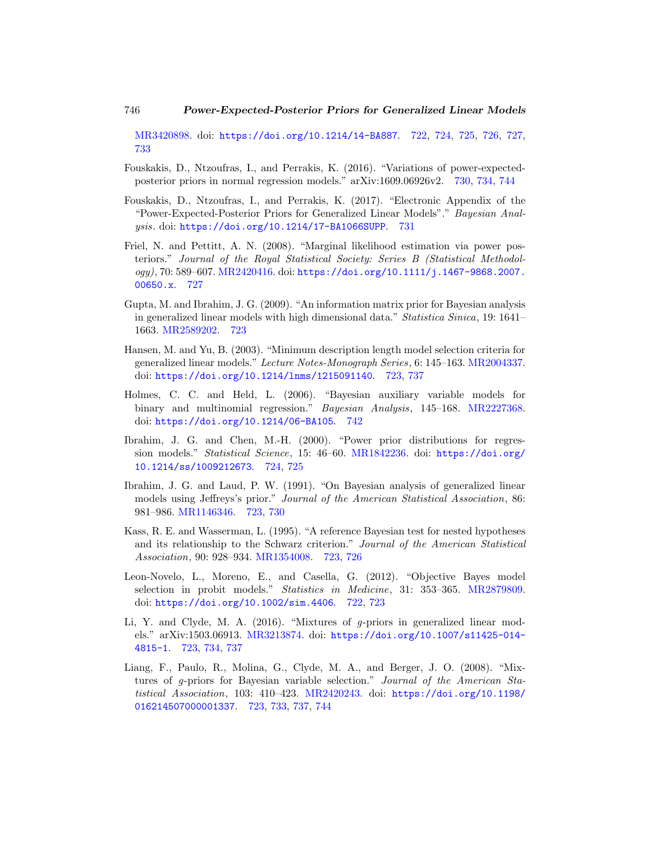[MR3420898.](http://www.ams.org/mathscinet-getitem?mr=3420898) doi: <https://doi.org/10.1214/14-BA887>. [722,](#page-2-0) [724,](#page-4-3) [725,](#page-5-2) [726,](#page-6-1) [727,](#page-7-2) [733](#page-13-3)

- <span id="page-26-9"></span>Fouskakis, D., Ntzoufras, I., and Perrakis, K. (2016). "Variations of power-expectedposterior priors in normal regression models." arXiv:1609.06926v2. [730,](#page-10-2) [734,](#page-14-4) [744](#page-24-1)
- <span id="page-26-10"></span>Fouskakis, D., Ntzoufras, I., and Perrakis, K. (2017). "Electronic Appendix of the "Power-Expected-Posterior Priors for Generalized Linear Models"." Bayesian Analysis. doi: <https://doi.org/10.1214/17-BA1066SUPP>. [731](#page-11-3)
- <span id="page-26-8"></span>Friel, N. and Pettitt, A. N. (2008). "Marginal likelihood estimation via power posteriors." Journal of the Royal Statistical Society: Series B (Statistical Methodology), 70: 589–607. [MR2420416.](http://www.ams.org/mathscinet-getitem?mr=2420416) doi: [https://doi.org/10.1111/j.1467-9868.2007.](https://doi.org/10.1111/j.1467-9868.2007.00650.x) [00650.x](https://doi.org/10.1111/j.1467-9868.2007.00650.x). [727](#page-7-2)
- <span id="page-26-5"></span>Gupta, M. and Ibrahim, J. G. (2009). "An information matrix prior for Bayesian analysis in generalized linear models with high dimensional data." Statistica Sinica, 19: 1641– 1663. [MR2589202.](http://www.ams.org/mathscinet-getitem?mr=2589202) [723](#page-3-1)
- <span id="page-26-3"></span>Hansen, M. and Yu, B. (2003). "Minimum description length model selection criteria for generalized linear models." Lecture Notes-Monograph Series, 6: 145–163. [MR2004337.](http://www.ams.org/mathscinet-getitem?mr=2004337) doi: <https://doi.org/10.1214/lnms/1215091140>. [723,](#page-3-1) [737](#page-17-1)
- <span id="page-26-11"></span>Holmes, C. C. and Held, L. (2006). "Bayesian auxiliary variable models for binary and multinomial regression." Bayesian Analysis, 145–168. [MR2227368.](http://www.ams.org/mathscinet-getitem?mr=2227368) doi: <https://doi.org/10.1214/06-BA105>. [742](#page-22-1)
- <span id="page-26-7"></span>Ibrahim, J. G. and Chen, M.-H. (2000). "Power prior distributions for regression models." Statistical Science, 15: 46–60. [MR1842236.](http://www.ams.org/mathscinet-getitem?mr=1842236) doi: [https://doi.org/](https://doi.org/10.1214/ss/1009212673) [10.1214/ss/1009212673](https://doi.org/10.1214/ss/1009212673). [724,](#page-4-3) [725](#page-5-2)
- <span id="page-26-6"></span>Ibrahim, J. G. and Laud, P. W. (1991). "On Bayesian analysis of generalized linear models using Jeffreys's prior." Journal of the American Statistical Association, 86: 981–986. [MR1146346.](http://www.ams.org/mathscinet-getitem?mr=1146346) [723,](#page-3-1) [730](#page-10-2)
- <span id="page-26-1"></span>Kass, R. E. and Wasserman, L. (1995). "A reference Bayesian test for nested hypotheses and its relationship to the Schwarz criterion." Journal of the American Statistical Association, 90: 928–934. [MR1354008.](http://www.ams.org/mathscinet-getitem?mr=1354008) [723,](#page-3-1) [726](#page-6-1)
- <span id="page-26-0"></span>Leon-Novelo, L., Moreno, E., and Casella, G. (2012). "Objective Bayes model selection in probit models." Statistics in Medicine, 31: 353–365. [MR2879809.](http://www.ams.org/mathscinet-getitem?mr=2879809) doi: <https://doi.org/10.1002/sim.4406>. [722,](#page-2-0) [723](#page-3-1)
- <span id="page-26-4"></span>Li, Y. and Clyde, M. A. (2016). "Mixtures of g-priors in generalized linear models." arXiv:1503.06913. [MR3213874.](http://www.ams.org/mathscinet-getitem?mr=3213874) doi: [https://doi.org/10.1007/s11425-014-](https://doi.org/10.1007/s11425-014-4815-1) [4815-1](https://doi.org/10.1007/s11425-014-4815-1). [723,](#page-3-1) [734,](#page-14-4) [737](#page-17-1)
- <span id="page-26-2"></span>Liang, F., Paulo, R., Molina, G., Clyde, M. A., and Berger, J. O. (2008). "Mixtures of g-priors for Bayesian variable selection." Journal of the American Statistical Association, 103: 410–423. [MR2420243.](http://www.ams.org/mathscinet-getitem?mr=2420243) doi: [https://doi.org/10.1198/](https://doi.org/10.1198/016214507000001337) [016214507000001337](https://doi.org/10.1198/016214507000001337). [723,](#page-3-1) [733,](#page-13-3) [737,](#page-17-1) [744](#page-24-1)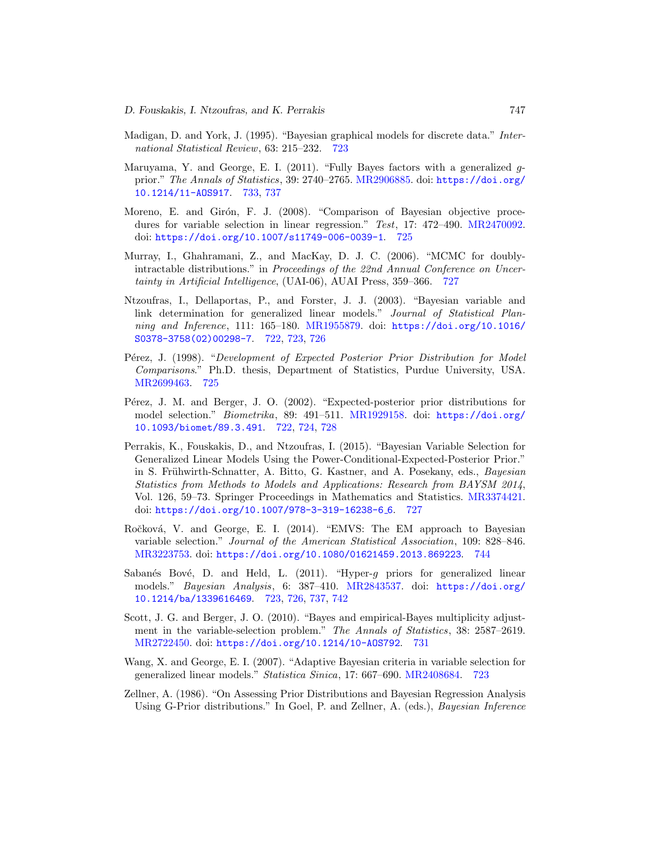- <span id="page-27-4"></span>Madigan, D. and York, J. (1995). "Bayesian graphical models for discrete data." International Statistical Review, 63: 215–232. [723](#page-3-1)
- <span id="page-27-11"></span>Maruyama, Y. and George, E. I. (2011). "Fully Bayes factors with a generalized  $g$ prior." The Annals of Statistics, 39: 2740–2765. [MR2906885.](http://www.ams.org/mathscinet-getitem?mr=2906885) doi: [https://doi.org/](https://doi.org/10.1214/11-AOS917) [10.1214/11-AOS917](https://doi.org/10.1214/11-AOS917). [733,](#page-13-3) [737](#page-17-1)
- <span id="page-27-7"></span>Moreno, E. and Girón, F. J. (2008). "Comparison of Bayesian objective proce-dures for variable selection in linear regression." Test, 17: 472-490. [MR2470092.](http://www.ams.org/mathscinet-getitem?mr=2470092) doi: <https://doi.org/10.1007/s11749-006-0039-1>. [725](#page-5-2)
- <span id="page-27-9"></span>Murray, I., Ghahramani, Z., and MacKay, D. J. C. (2006). "MCMC for doublyintractable distributions." in Proceedings of the 22nd Annual Conference on Uncertainty in Artificial Intelligence, (UAI-06), AUAI Press, 359–366. [727](#page-7-2)
- <span id="page-27-2"></span>Ntzoufras, I., Dellaportas, P., and Forster, J. J. (2003). "Bayesian variable and link determination for generalized linear models." Journal of Statistical Planning and Inference, 111: 165–180. [MR1955879.](http://www.ams.org/mathscinet-getitem?mr=1955879) doi: [https://doi.org/10.1016/](https://doi.org/10.1016/S0378-3758(02)00298-7) [S0378-3758\(02\)00298-7](https://doi.org/10.1016/S0378-3758(02)00298-7). [722,](#page-2-0) [723,](#page-3-1) [726](#page-6-1)
- <span id="page-27-6"></span>Pérez, J. (1998). "Development of Expected Posterior Prior Distribution for Model Comparisons." Ph.D. thesis, Department of Statistics, Purdue University, USA. [MR2699463.](http://www.ams.org/mathscinet-getitem?mr=2699463) [725](#page-5-2)
- <span id="page-27-0"></span>Pérez, J. M. and Berger, J. O. (2002). "Expected-posterior prior distributions for model selection." Biometrika, 89: 491–511. [MR1929158.](http://www.ams.org/mathscinet-getitem?mr=1929158) doi: [https://doi.org/](https://doi.org/10.1093/biomet/89.3.491) [10.1093/biomet/89.3.491](https://doi.org/10.1093/biomet/89.3.491). [722,](#page-2-0) [724,](#page-4-3) [728](#page-8-5)
- <span id="page-27-8"></span>Perrakis, K., Fouskakis, D., and Ntzoufras, I. (2015). "Bayesian Variable Selection for Generalized Linear Models Using the Power-Conditional-Expected-Posterior Prior." in S. Frühwirth-Schnatter, A. Bitto, G. Kastner, and A. Posekany, eds., Bayesian Statistics from Methods to Models and Applications: Research from BAYSM 2014, Vol. 126, 59–73. Springer Proceedings in Mathematics and Statistics. [MR3374421.](http://www.ams.org/mathscinet-getitem?mr=3374421) doi: [https://doi.org/10.1007/978-3-319-16238-6](https://doi.org/10.1007/978-3-319-16238-6_6) 6. [727](#page-7-2)
- <span id="page-27-12"></span>Ročková, V. and George, E. I. (2014). "EMVS: The EM approach to Bayesian variable selection." Journal of the American Statistical Association, 109: 828–846. [MR3223753.](http://www.ams.org/mathscinet-getitem?mr=3223753) doi: <https://doi.org/10.1080/01621459.2013.869223>. [744](#page-24-1)
- <span id="page-27-3"></span>Sabanés Bové, D. and Held, L. (2011). "Hyper-g priors for generalized linear models." Bayesian Analysis, 6: 387–410. [MR2843537.](http://www.ams.org/mathscinet-getitem?mr=2843537) doi: [https://doi.org/](https://doi.org/10.1214/ba/1339616469) [10.1214/ba/1339616469](https://doi.org/10.1214/ba/1339616469). [723,](#page-3-1) [726,](#page-6-1) [737,](#page-17-1) [742](#page-22-1)
- <span id="page-27-10"></span>Scott, J. G. and Berger, J. O. (2010). "Bayes and empirical-Bayes multiplicity adjustment in the variable-selection problem." The Annals of Statistics, 38: 2587–2619. [MR2722450.](http://www.ams.org/mathscinet-getitem?mr=2722450) doi: <https://doi.org/10.1214/10-AOS792>. [731](#page-11-3)
- <span id="page-27-5"></span>Wang, X. and George, E. I. (2007). "Adaptive Bayesian criteria in variable selection for generalized linear models." Statistica Sinica, 17: 667–690. [MR2408684.](http://www.ams.org/mathscinet-getitem?mr=2408684) [723](#page-3-1)
- <span id="page-27-1"></span>Zellner, A. (1986). "On Assessing Prior Distributions and Bayesian Regression Analysis Using G-Prior distributions." In Goel, P. and Zellner, A. (eds.), Bayesian Inference